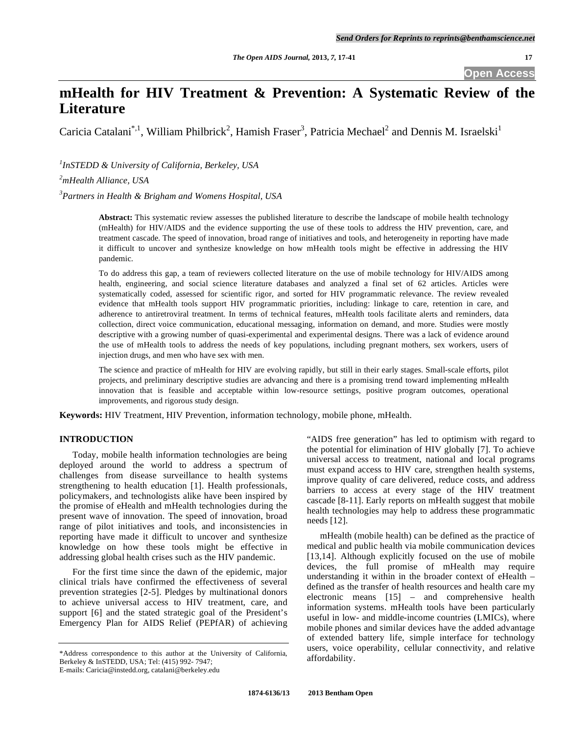# **mHealth for HIV Treatment & Prevention: A Systematic Review of the Literature**

Caricia Catalani<sup>\*,1</sup>, William Philbrick<sup>2</sup>, Hamish Fraser<sup>3</sup>, Patricia Mechael<sup>2</sup> and Dennis M. Israelski<sup>1</sup>

*1 InSTEDD & University of California, Berkeley, USA* 

*2 mHealth Alliance, USA* 

*3 Partners in Health & Brigham and Womens Hospital, USA* 

**Abstract:** This systematic review assesses the published literature to describe the landscape of mobile health technology (mHealth) for HIV/AIDS and the evidence supporting the use of these tools to address the HIV prevention, care, and treatment cascade. The speed of innovation, broad range of initiatives and tools, and heterogeneity in reporting have made it difficult to uncover and synthesize knowledge on how mHealth tools might be effective in addressing the HIV pandemic.

To do address this gap, a team of reviewers collected literature on the use of mobile technology for HIV/AIDS among health, engineering, and social science literature databases and analyzed a final set of 62 articles. Articles were systematically coded, assessed for scientific rigor, and sorted for HIV programmatic relevance. The review revealed evidence that mHealth tools support HIV programmatic priorities, including: linkage to care, retention in care, and adherence to antiretroviral treatment. In terms of technical features, mHealth tools facilitate alerts and reminders, data collection, direct voice communication, educational messaging, information on demand, and more. Studies were mostly descriptive with a growing number of quasi-experimental and experimental designs. There was a lack of evidence around the use of mHealth tools to address the needs of key populations, including pregnant mothers, sex workers, users of injection drugs, and men who have sex with men.

The science and practice of mHealth for HIV are evolving rapidly, but still in their early stages. Small-scale efforts, pilot projects, and preliminary descriptive studies are advancing and there is a promising trend toward implementing mHealth innovation that is feasible and acceptable within low-resource settings, positive program outcomes, operational improvements, and rigorous study design.

**Keywords:** HIV Treatment, HIV Prevention, information technology, mobile phone, mHealth.

### **INTRODUCTION**

 Today, mobile health information technologies are being deployed around the world to address a spectrum of challenges from disease surveillance to health systems strengthening to health education [1]. Health professionals, policymakers, and technologists alike have been inspired by the promise of eHealth and mHealth technologies during the present wave of innovation. The speed of innovation, broad range of pilot initiatives and tools, and inconsistencies in reporting have made it difficult to uncover and synthesize knowledge on how these tools might be effective in addressing global health crises such as the HIV pandemic.

 For the first time since the dawn of the epidemic, major clinical trials have confirmed the effectiveness of several prevention strategies [2-5]. Pledges by multinational donors to achieve universal access to HIV treatment, care, and support [6] and the stated strategic goal of the President's Emergency Plan for AIDS Relief (PEPfAR) of achieving

"AIDS free generation" has led to optimism with regard to the potential for elimination of HIV globally [7]. To achieve universal access to treatment, national and local programs must expand access to HIV care, strengthen health systems, improve quality of care delivered, reduce costs, and address barriers to access at every stage of the HIV treatment cascade [8-11]. Early reports on mHealth suggest that mobile health technologies may help to address these programmatic needs [12].

 mHealth (mobile health) can be defined as the practice of medical and public health via mobile communication devices [13,14]. Although explicitly focused on the use of mobile devices, the full promise of mHealth may require understanding it within in the broader context of eHealth – defined as the transfer of health resources and health care my electronic means [15] – and comprehensive health information systems. mHealth tools have been particularly useful in low- and middle-income countries (LMICs), where mobile phones and similar devices have the added advantage of extended battery life, simple interface for technology users, voice operability, cellular connectivity, and relative affordability.

<sup>\*</sup>Address correspondence to this author at the University of California, Berkeley & InSTEDD, USA; Tel: (415) 992- 7947; E-mails: Caricia@instedd.org, catalani@berkeley.edu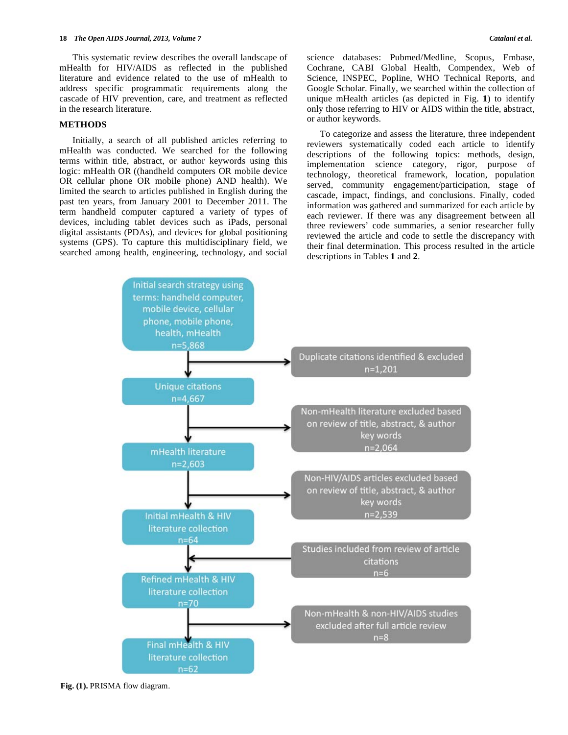This systematic review describes the overall landscape of mHealth for HIV/AIDS as reflected in the published literature and evidence related to the use of mHealth to address specific programmatic requirements along the cascade of HIV prevention, care, and treatment as reflected in the research literature.

### **METHODS**

 Initially, a search of all published articles referring to mHealth was conducted. We searched for the following terms within title, abstract, or author keywords using this logic: mHealth OR ((handheld computers OR mobile device OR cellular phone OR mobile phone) AND health). We limited the search to articles published in English during the past ten years, from January 2001 to December 2011. The term handheld computer captured a variety of types of devices, including tablet devices such as iPads, personal digital assistants (PDAs), and devices for global positioning systems (GPS). To capture this multidisciplinary field, we searched among health, engineering, technology, and social

science databases: Pubmed/Medline, Scopus, Embase, Cochrane, CABI Global Health, Compendex, Web of Science, INSPEC, Popline, WHO Technical Reports, and Google Scholar. Finally, we searched within the collection of unique mHealth articles (as depicted in Fig. **1**) to identify only those referring to HIV or AIDS within the title, abstract, or author keywords.

 To categorize and assess the literature, three independent reviewers systematically coded each article to identify descriptions of the following topics: methods, design, implementation science category, rigor, purpose of technology, theoretical framework, location, population served, community engagement/participation, stage of cascade, impact, findings, and conclusions. Finally, coded information was gathered and summarized for each article by each reviewer. If there was any disagreement between all three reviewers' code summaries, a senior researcher fully reviewed the article and code to settle the discrepancy with their final determination. This process resulted in the article descriptions in Tables **1** and **2**.

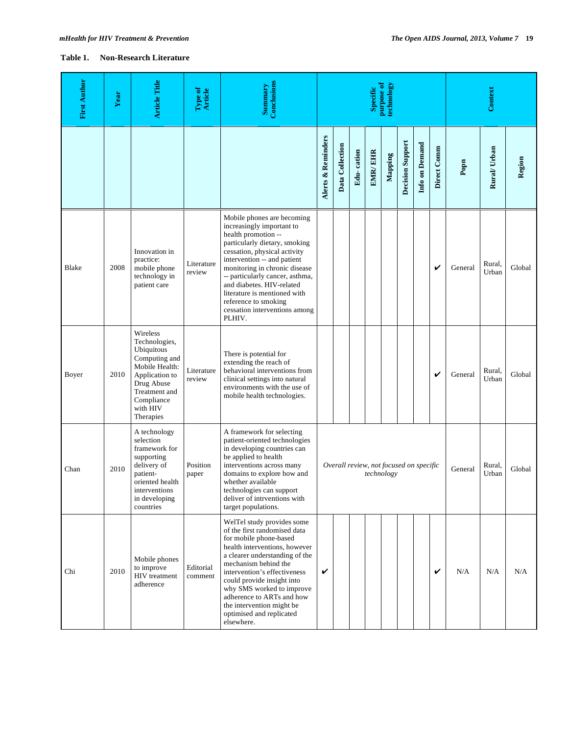# **Table 1. Non-Research Literature**

| <b>First Author</b> | Year | <b>Article Title</b>                                                                                                                                               | Type of<br>Article   | Conclusions<br>Summary                                                                                                                                                                                                                                                                                                                                                             |                               |                 |            | Specific   | purpose of<br>technology |                                         |                |             |         | Context         |        |
|---------------------|------|--------------------------------------------------------------------------------------------------------------------------------------------------------------------|----------------------|------------------------------------------------------------------------------------------------------------------------------------------------------------------------------------------------------------------------------------------------------------------------------------------------------------------------------------------------------------------------------------|-------------------------------|-----------------|------------|------------|--------------------------|-----------------------------------------|----------------|-------------|---------|-----------------|--------|
|                     |      |                                                                                                                                                                    |                      |                                                                                                                                                                                                                                                                                                                                                                                    | <b>Alerts &amp; Reminders</b> | Data Collection | Edu-cation | EMR/EHR    | Mapping                  | <b>Decision Support</b>                 | Info on Demand | Direct Comm | Popn    | Rural/Urban     | Region |
| Blake               | 2008 | Innovation in<br>practice:<br>mobile phone<br>technology in<br>patient care                                                                                        | Literature<br>review | Mobile phones are becoming<br>increasingly important to<br>health promotion --<br>particularly dietary, smoking<br>cessation, physical activity<br>intervention -- and patient<br>monitoring in chronic disease<br>-- particularly cancer, asthma,<br>and diabetes. HIV-related<br>literature is mentioned with<br>reference to smoking<br>cessation interventions among<br>PLHIV. |                               |                 |            |            |                          |                                         |                | V           | General | Rural,<br>Urban | Global |
| Boyer               | 2010 | Wireless<br>Technologies,<br>Ubiquitous<br>Computing and<br>Mobile Health:<br>Application to<br>Drug Abuse<br>Treatment and<br>Compliance<br>with HIV<br>Therapies | Literature<br>review | There is potential for<br>extending the reach of<br>behavioral interventions from<br>clinical settings into natural<br>environments with the use of<br>mobile health technologies.                                                                                                                                                                                                 |                               |                 |            |            |                          |                                         |                | V           | General | Rural,<br>Urban | Global |
| Chan                | 2010 | A technology<br>selection<br>framework for<br>supporting<br>delivery of<br>patient-<br>oriented health<br>interventions<br>in developing<br>countries              | Position<br>paper    | A framework for selecting<br>patient-oriented technologies<br>in developing countries can<br>be applied to health<br>interventions across many<br>domains to explore how and<br>whether available<br>technologies can support<br>deliver of intrventions with<br>target populations.                                                                                               |                               |                 |            | technology |                          | Overall review, not focused on specific |                |             | General | Rural,<br>Urban | Global |
| Chi                 | 2010 | Mobile phones<br>to improve<br>HIV treatment<br>adherence                                                                                                          | Editorial<br>comment | WelTel study provides some<br>of the first randomised data<br>for mobile phone-based<br>health interventions, however<br>a clearer understanding of the<br>mechanism behind the<br>intervention's effectiveness<br>could provide insight into<br>why SMS worked to improve<br>adherence to ARTs and how<br>the intervention might be<br>optimised and replicated<br>elsewhere.     | V                             |                 |            |            |                          |                                         |                | V           | N/A     | N/A             | N/A    |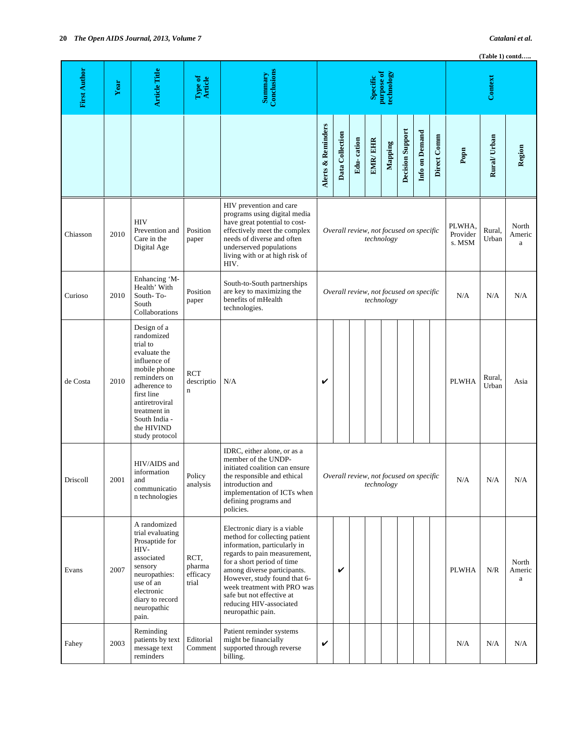| <b>First Author</b> | Year | <b>Article Title</b>                                                                                                                                                                                                   | Type of<br>Article                  | Conclusions<br>Summary                                                                                                                                                                                                                                                                                                                 |                               |                 |            | Specific       | purpose of<br>technology |                                         |                |             |                              | Context         |                      |
|---------------------|------|------------------------------------------------------------------------------------------------------------------------------------------------------------------------------------------------------------------------|-------------------------------------|----------------------------------------------------------------------------------------------------------------------------------------------------------------------------------------------------------------------------------------------------------------------------------------------------------------------------------------|-------------------------------|-----------------|------------|----------------|--------------------------|-----------------------------------------|----------------|-------------|------------------------------|-----------------|----------------------|
|                     |      |                                                                                                                                                                                                                        |                                     |                                                                                                                                                                                                                                                                                                                                        | <b>Alerts &amp; Reminders</b> | Data Collection | Edu-cation | <b>EMR/EHR</b> | Mapping                  | <b>Decision Support</b>                 | Info on Demand | Direct Comm | Popn                         | Rural/Urban     | Region               |
| Chiasson            | 2010 | <b>HIV</b><br>Prevention and<br>Care in the<br>Digital Age                                                                                                                                                             | Position<br>paper                   | HIV prevention and care<br>programs using digital media<br>have great potential to cost-<br>effectively meet the complex<br>needs of diverse and often<br>underserved populations<br>living with or at high risk of<br>HIV.                                                                                                            |                               |                 |            |                | technology               | Overall review, not focused on specific |                |             | PLWHA.<br>Provider<br>s. MSM | Rural,<br>Urban | North<br>Americ<br>a |
| Curioso             | 2010 | Enhancing 'M-<br>Health' With<br>South-To-<br>South<br>Collaborations                                                                                                                                                  | Position<br>paper                   | South-to-South partnerships<br>are key to maximizing the<br>benefits of mHealth<br>technologies.                                                                                                                                                                                                                                       |                               |                 |            |                | technology               | Overall review, not focused on specific |                |             | N/A                          | N/A             | N/A                  |
| de Costa            | 2010 | Design of a<br>randomized<br>trial to<br>evaluate the<br>influence of<br>mobile phone<br>reminders on<br>adherence to<br>first line<br>antiretroviral<br>treatment in<br>South India -<br>the HIVIND<br>study protocol | <b>RCT</b><br>descriptio<br>$\bf n$ | N/A                                                                                                                                                                                                                                                                                                                                    | V                             |                 |            |                |                          |                                         |                |             | <b>PLWHA</b>                 | Rural,<br>Urban | Asia                 |
| Driscoll            | 2001 | HIV/AIDS and<br>information<br>and<br>communicatio<br>n technologies                                                                                                                                                   | Policy<br>analysis                  | IDRC, either alone, or as a<br>member of the UNDP-<br>initiated coalition can ensure<br>the responsible and ethical<br>introduction and<br>implementation of ICTs when<br>defining programs and<br>policies.                                                                                                                           |                               |                 |            |                | technology               | Overall review, not focused on specific |                |             | N/A                          | N/A             | N/A                  |
| Evans               | 2007 | A randomized<br>trial evaluating<br>Prosaptide for<br>HIV-<br>associated<br>sensory<br>neuropathies:<br>use of an<br>electronic<br>diary to record<br>neuropathic<br>pain.                                             | RCT,<br>pharma<br>efficacy<br>trial | Electronic diary is a viable<br>method for collecting patient<br>information, particularly in<br>regards to pain measurement,<br>for a short period of time<br>among diverse participants.<br>However, study found that 6-<br>week treatment with PRO was<br>safe but not effective at<br>reducing HIV-associated<br>neuropathic pain. |                               | V               |            |                |                          |                                         |                |             | <b>PLWHA</b>                 | N/R             | North<br>Americ<br>a |
| Fahey               | 2003 | Reminding<br>patients by text<br>message text<br>reminders                                                                                                                                                             | Editorial<br>Comment                | Patient reminder systems<br>might be financially<br>supported through reverse<br>billing.                                                                                                                                                                                                                                              | V                             |                 |            |                |                          |                                         |                |             | N/A                          | N/A             | N/A                  |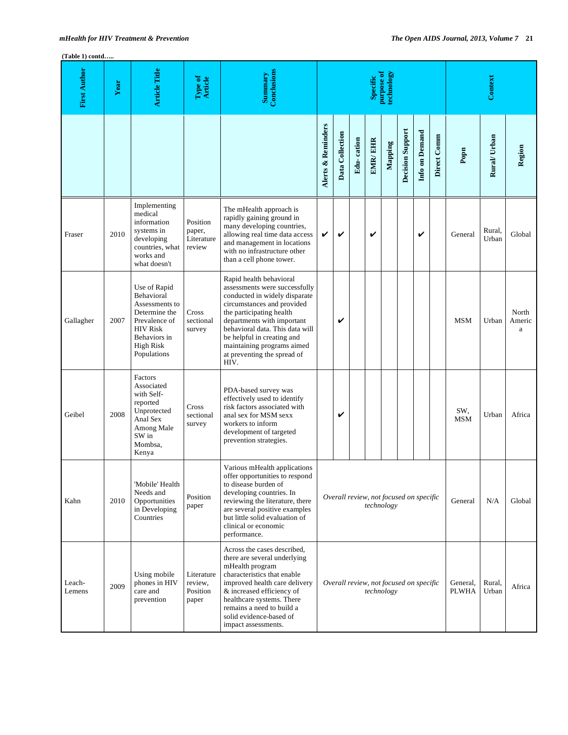| <b>First Author</b> | Year | <b>Article Title</b>                                                                                                                                 | Type of<br>Article                         | Conclusions<br>Summary                                                                                                                                                                                                                                                                                                  |                               |                 |            |         | Specific<br>purpose of<br>technology |                                         |                |             |                          | Context         |                      |
|---------------------|------|------------------------------------------------------------------------------------------------------------------------------------------------------|--------------------------------------------|-------------------------------------------------------------------------------------------------------------------------------------------------------------------------------------------------------------------------------------------------------------------------------------------------------------------------|-------------------------------|-----------------|------------|---------|--------------------------------------|-----------------------------------------|----------------|-------------|--------------------------|-----------------|----------------------|
|                     |      |                                                                                                                                                      |                                            |                                                                                                                                                                                                                                                                                                                         | <b>Alerts &amp; Reminders</b> | Data Collection | Edu-cation | EMR/EHR | Mapping                              | <b>Decision Support</b>                 | Info on Demand | Direct Comm | $P$ opn                  | Rural/Urban     | Region               |
| Fraser              | 2010 | Implementing<br>medical<br>information<br>systems in<br>developing<br>countries, what<br>works and<br>what doesn't                                   | Position<br>paper,<br>Literature<br>review | The mHealth approach is<br>rapidly gaining ground in<br>many developing countries,<br>allowing real time data access<br>and management in locations<br>with no infrastructure other<br>than a cell phone tower.                                                                                                         | V                             | V               |            | V       |                                      |                                         | V              |             | General                  | Rural,<br>Urban | Global               |
| Gallagher           | 2007 | Use of Rapid<br>Behavioral<br>Assessments to<br>Determine the<br>Prevalence of<br><b>HIV Risk</b><br>Behaviors in<br><b>High Risk</b><br>Populations | Cross<br>sectional<br>survey               | Rapid health behavioral<br>assessments were successfully<br>conducted in widely disparate<br>circumstances and provided<br>the participating health<br>departments with important<br>behavioral data. This data will<br>be helpful in creating and<br>maintaining programs aimed<br>at preventing the spread of<br>HIV. |                               | V               |            |         |                                      |                                         |                |             | <b>MSM</b>               | Urban           | North<br>Americ<br>a |
| Geibel              | 2008 | Factors<br>Associated<br>with Self-<br>reported<br>Unprotected<br>Anal Sex<br>Among Male<br>SW in<br>Mombsa,<br>Kenya                                | Cross<br>sectional<br>survey               | PDA-based survey was<br>effectively used to identify<br>risk factors associated with<br>anal sex for MSM sexx<br>workers to inform<br>development of targeted<br>prevention strategies.                                                                                                                                 |                               | V               |            |         |                                      |                                         |                |             | SW,<br><b>MSM</b>        | Urban           | Africa               |
| Kahn                | 2010 | 'Mobile' Health<br>Needs and<br>Opportunities<br>in Developing<br>Countries                                                                          | Position<br>paper                          | Various mHealth applications<br>offer opportunities to respond<br>to disease burden of<br>developing countries. In<br>reviewing the literature, there<br>are several positive examples<br>but little solid evaluation of<br>clinical or economic<br>performance.                                                        |                               |                 |            |         | technology                           | Overall review, not focused on specific |                |             | General                  | N/A             | Global               |
| Leach-<br>Lemens    | 2009 | Using mobile<br>phones in HIV<br>care and<br>prevention                                                                                              | Literature<br>review,<br>Position<br>paper | Across the cases described,<br>there are several underlying<br>mHealth program<br>characteristics that enable<br>improved health care delivery<br>& increased efficiency of<br>healthcare systems. There<br>remains a need to build a<br>solid evidence-based of<br>impact assessments.                                 |                               |                 |            |         | technology                           | Overall review, not focused on specific |                |             | General,<br><b>PLWHA</b> | Rural,<br>Urban | Africa               |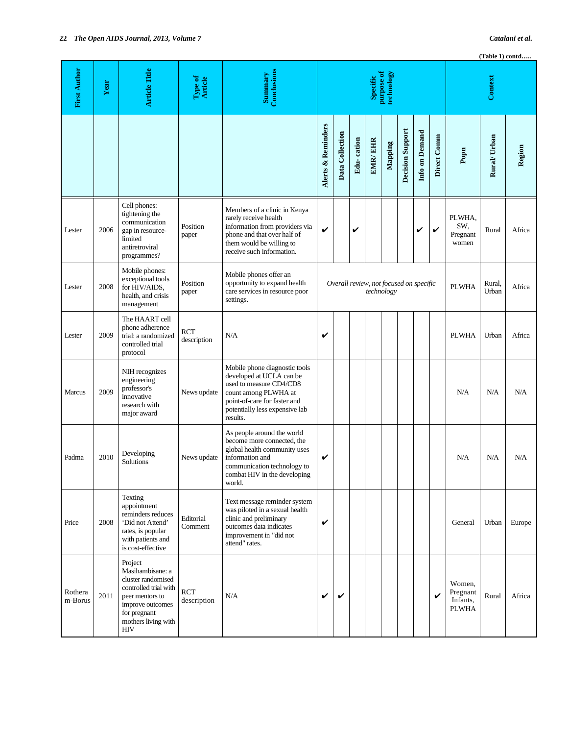| <b>First Author</b> | Year | <b>Article Title</b>                                                                                                                                            | Type of<br>Article        | Conclusions<br>Summary                                                                                                                                                                     |                    |                 |            | Specific                                              | purpose of<br>technology |                         |                |              |                                                | Context         |        |
|---------------------|------|-----------------------------------------------------------------------------------------------------------------------------------------------------------------|---------------------------|--------------------------------------------------------------------------------------------------------------------------------------------------------------------------------------------|--------------------|-----------------|------------|-------------------------------------------------------|--------------------------|-------------------------|----------------|--------------|------------------------------------------------|-----------------|--------|
|                     |      |                                                                                                                                                                 |                           |                                                                                                                                                                                            | Alerts & Reminders | Data Collection | Edu-cation | EMR/EHR                                               | Mapping                  | <b>Decision Support</b> | Info on Demand | Direct Comm  | $P$ opn                                        | Rural/Urban     | Region |
| Lester              | 2006 | Cell phones:<br>tightening the<br>communication<br>gap in resource-<br>limited<br>antiretroviral<br>programmes?                                                 | Position<br>paper         | Members of a clinic in Kenya<br>rarely receive health<br>information from providers via<br>phone and that over half of<br>them would be willing to<br>receive such information.            | V                  |                 | V          |                                                       |                          |                         | V              | V            | PLWHA.<br>SW,<br>Pregnant<br>women             | Rural           | Africa |
| Lester              | 2008 | Mobile phones:<br>exceptional tools<br>for HIV/AIDS,<br>health, and crisis<br>management                                                                        | Position<br>paper         | Mobile phones offer an<br>opportunity to expand health<br>care services in resource poor<br>settings.                                                                                      |                    |                 |            | Overall review, not focused on specific<br>technology |                          |                         |                |              | <b>PLWHA</b>                                   | Rural,<br>Urban | Africa |
| Lester              | 2009 | The HAART cell<br>phone adherence<br>trial: a randomized<br>controlled trial<br>protocol                                                                        | <b>RCT</b><br>description | N/A                                                                                                                                                                                        | V                  |                 |            |                                                       |                          |                         |                |              | <b>PLWHA</b>                                   | Urban           | Africa |
| Marcus              | 2009 | NIH recognizes<br>engineering<br>professor's<br>innovative<br>research with<br>major award                                                                      | News update               | Mobile phone diagnostic tools<br>developed at UCLA can be<br>used to measure CD4/CD8<br>count among PLWHA at<br>point-of-care for faster and<br>potentially less expensive lab<br>results. |                    |                 |            |                                                       |                          |                         |                |              | N/A                                            | N/A             | N/A    |
| Padma               | 2010 | Developing<br>Solutions                                                                                                                                         | News update               | As people around the world<br>become more connected, the<br>global health community uses<br>information and<br>communication technology to<br>combat HIV in the developing<br>world.       | V                  |                 |            |                                                       |                          |                         |                |              | N/A                                            | N/A             | N/A    |
| Price               | 2008 | Texting<br>appointment<br>reminders reduces<br>'Did not Attend'<br>rates, is popular<br>with patients and<br>is cost-effective                                  | Editorial<br>Comment      | Text message reminder system<br>was piloted in a sexual health<br>clinic and preliminary<br>outcomes data indicates<br>improvement in "did not<br>attend" rates.                           | V                  |                 |            |                                                       |                          |                         |                |              | General                                        | Urban           | Europe |
| Rothera<br>m-Borus  | 2011 | Project<br>Masihambisane: a<br>cluster randomised<br>controlled trial with<br>peer mentors to<br>improve outcomes<br>for pregnant<br>mothers living with<br>HIV | <b>RCT</b><br>description | N/A                                                                                                                                                                                        | V                  | V               |            |                                                       |                          |                         |                | $\checkmark$ | Women.<br>Pregnant<br>Infants,<br><b>PLWHA</b> | Rural           | Africa |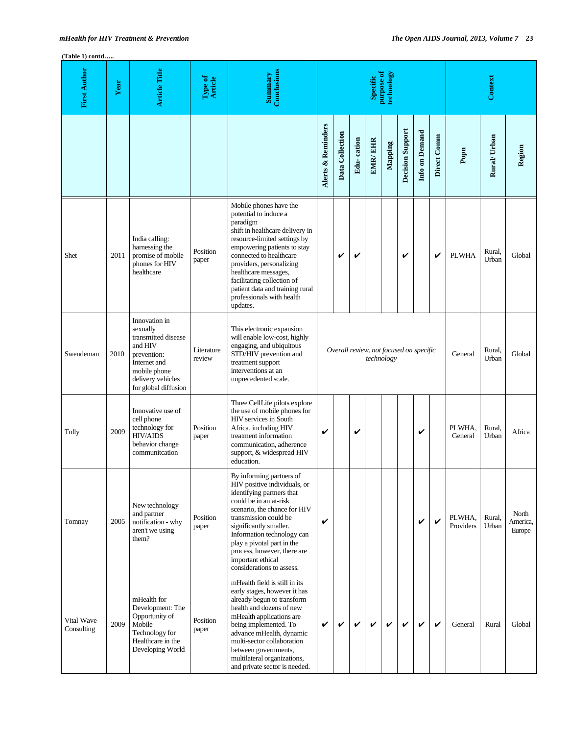| <b>First Author</b>      | Year | <b>Article Title</b>                                                                                                                                    | Type of<br>Article   | Conclusions<br>Summary                                                                                                                                                                                                                                                                                                                                 |                    |                 |            |                                                       | Specific<br>purpose of<br>technology |                         |                |             |                     | Context         |                             |
|--------------------------|------|---------------------------------------------------------------------------------------------------------------------------------------------------------|----------------------|--------------------------------------------------------------------------------------------------------------------------------------------------------------------------------------------------------------------------------------------------------------------------------------------------------------------------------------------------------|--------------------|-----------------|------------|-------------------------------------------------------|--------------------------------------|-------------------------|----------------|-------------|---------------------|-----------------|-----------------------------|
|                          |      |                                                                                                                                                         |                      |                                                                                                                                                                                                                                                                                                                                                        | Alerts & Reminders | Data Collection | Edu-cation | <b>EMR/EHR</b>                                        | Mapping                              | <b>Decision Support</b> | Info on Demand | Direct Comm | Popn                | Rural/Urban     | Region                      |
| Shet                     | 2011 | India calling:<br>harnessing the<br>promise of mobile<br>phones for HIV<br>healthcare                                                                   | Position<br>paper    | Mobile phones have the<br>potential to induce a<br>paradigm<br>shift in healthcare delivery in<br>resource-limited settings by<br>empowering patients to stay<br>connected to healthcare<br>providers, personalizing<br>healthcare messages,<br>facilitating collection of<br>patient data and training rural<br>professionals with health<br>updates. |                    | $\checkmark$    | V          |                                                       |                                      | V                       |                | V           | <b>PLWHA</b>        | Rural,<br>Urban | Global                      |
| Swendeman                | 2010 | Innovation in<br>sexually<br>transmitted disease<br>and HIV<br>prevention:<br>Internet and<br>mobile phone<br>delivery vehicles<br>for global diffusion | Literature<br>review | This electronic expansion<br>will enable low-cost, highly<br>engaging, and ubiquitous<br>STD/HIV prevention and<br>treatment support<br>interventions at an<br>unprecedented scale.                                                                                                                                                                    |                    |                 |            | Overall review, not focused on specific<br>technology |                                      |                         |                |             | General             | Rural,<br>Urban | Global                      |
| Tolly                    | 2009 | Innovative use of<br>cell phone<br>technology for<br><b>HIV/AIDS</b><br>behavior change<br>communitcation                                               | Position<br>paper    | Three CellLife pilots explore<br>the use of mobile phones for<br>HIV services in South<br>Africa, including HIV<br>treatment information<br>communication, adherence<br>support, & widespread HIV<br>education.                                                                                                                                        | V                  |                 | V          |                                                       |                                      |                         | V              |             | PLWHA.<br>General   | Rural,<br>Urban | Africa                      |
| Tomnay                   | 2005 | New technology<br>and partner<br>notification - why<br>aren't we using<br>them?                                                                         | Position<br>paper    | By informing partners of<br>HIV positive individuals, or<br>identifying partners that<br>could be in an at-risk<br>scenario, the chance for HIV<br>transmission could be<br>significantly smaller.<br>Information technology can<br>play a pivotal part in the<br>process, however, there are<br>important ethical<br>considerations to assess.        |                    |                 |            |                                                       |                                      |                         | V              | V           | PLWHA,<br>Providers | Rural,<br>Urban | North<br>America,<br>Europe |
| Vital Wave<br>Consulting | 2009 | mHealth for<br>Development: The<br>Opportunity of<br>Mobile<br>Technology for<br>Healthcare in the<br>Developing World                                  | Position<br>paper    | mHealth field is still in its<br>early stages, however it has<br>already begun to transform<br>health and dozens of new<br>mHealth applications are<br>being implemented. To<br>advance mHealth, dynamic<br>multi-sector collaboration<br>between governments,<br>multilateral organizations,<br>and private sector is needed.                         | V                  | V               | V          | V                                                     | V                                    | V                       | V              | V           | General             | Rural           | Global                      |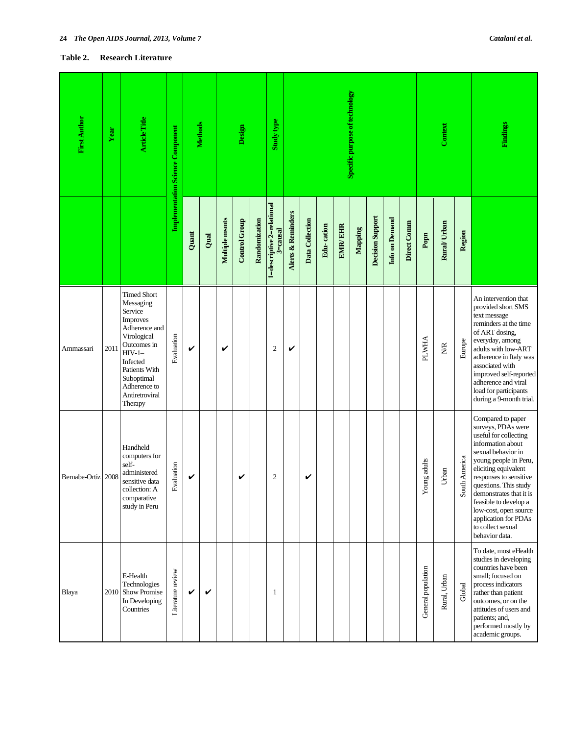## **Table 2. Research Literature**

| <b>First Author</b> | Year | <b>Article Title</b>                                                                                                                                                                                             | <b>Implementation Science Component</b> |       | <b>Methods</b> |                | Design        |               | Study type                             |                               |                 |            |                | Specific purpose of technology |                  |                |             |                    | Context                |                    | Findings                                                                                                                                                                                                                                                                                                                                                    |
|---------------------|------|------------------------------------------------------------------------------------------------------------------------------------------------------------------------------------------------------------------|-----------------------------------------|-------|----------------|----------------|---------------|---------------|----------------------------------------|-------------------------------|-----------------|------------|----------------|--------------------------------|------------------|----------------|-------------|--------------------|------------------------|--------------------|-------------------------------------------------------------------------------------------------------------------------------------------------------------------------------------------------------------------------------------------------------------------------------------------------------------------------------------------------------------|
|                     |      |                                                                                                                                                                                                                  |                                         | Quant | Qual           | Multiple msmts | Control Group | Randomization | 1=descriptive 2=relational<br>3-causal | <b>Alerts &amp; Reminders</b> | Data Collection | Edu-cation | <b>EMR/EHR</b> | Mapping                        | Decision Support | Info on Demand | Direct Comm | $_{\rm Popn}$      | Rural/Urban            | Region             |                                                                                                                                                                                                                                                                                                                                                             |
| Ammassari           | 2011 | <b>Timed Short</b><br>Messaging<br>Service<br><b>Improves</b><br>Adherence and<br>Virological<br>Outcomes in<br>$HIV-1-$<br>Infected<br>Patients With<br>Suboptimal<br>Adherence to<br>Antiretroviral<br>Therapy | Evaluation                              | V     |                | V              |               |               | $\overline{2}$                         | V                             |                 |            |                |                                |                  |                |             | <b>PLWHA</b>       | $\overline{\text{NR}}$ | Europe             | An intervention that<br>provided short SMS<br>text message<br>reminders at the time<br>of ART dosing,<br>everyday, among<br>adults with low-ART<br>adherence in Italy was<br>associated with<br>improved self-reported<br>adherence and viral<br>load for participants<br>during a 9-month trial.                                                           |
| Bernabe-Ortiz 2008  |      | Handheld<br>computers for<br>self-<br>administered<br>sensitive data<br>collection: A<br>comparative<br>study in Peru                                                                                            | valuation<br>щ                          | V     |                |                | V             |               | $\overline{2}$                         |                               | V               |            |                |                                |                  |                |             | Young adults       | Urban                  | uth America<br>સ્ર | Compared to paper<br>surveys, PDAs were<br>useful for collecting<br>information about<br>sexual behavior in<br>young people in Peru,<br>eliciting equivalent<br>responses to sensitive<br>questions. This study<br>demonstrates that it is<br>feasible to develop a<br>low-cost, open source<br>application for PDAs<br>to collect sexual<br>behavior data. |
| Blaya               |      | E-Health<br>Technologies<br>2010 Show Promise<br>In Developing<br>Countries                                                                                                                                      | Literature review                       | V     | V              |                |               |               | 1                                      |                               |                 |            |                |                                |                  |                |             | General population | Rural, Urban           | Global             | To date, most eHealth<br>studies in developing<br>countries have been<br>small: focused on<br>process indicators<br>rather than patient<br>outcomes, or on the<br>attitudes of users and<br>patients; and,<br>performed mostly by<br>academic groups.                                                                                                       |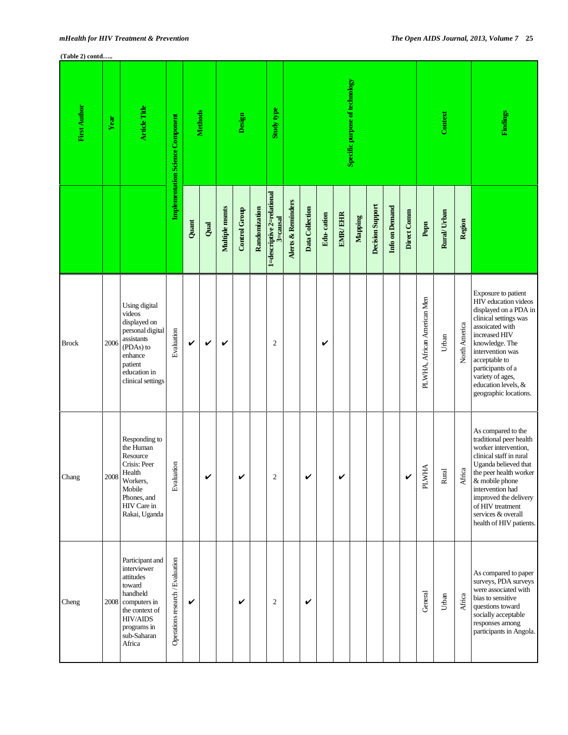| $(1$ avic $2)$ contu |      |                                                                                                                                                                |                                         |       |                |                |               |               |                                        |                    |                 |            |                |                                |                         |                |             |                             |             |               |                                                                                                                                                                                                                                                                                          |
|----------------------|------|----------------------------------------------------------------------------------------------------------------------------------------------------------------|-----------------------------------------|-------|----------------|----------------|---------------|---------------|----------------------------------------|--------------------|-----------------|------------|----------------|--------------------------------|-------------------------|----------------|-------------|-----------------------------|-------------|---------------|------------------------------------------------------------------------------------------------------------------------------------------------------------------------------------------------------------------------------------------------------------------------------------------|
| <b>First Author</b>  | Year | <b>Article Title</b>                                                                                                                                           | <b>Implementation Science Component</b> |       | <b>Methods</b> |                | Design        |               | Study type                             |                    |                 |            |                | Specific purpose of technology |                         |                |             |                             | Context     |               | Findings                                                                                                                                                                                                                                                                                 |
|                      |      |                                                                                                                                                                |                                         | Quant | Qual           | Multiple msmts | Control Group | Randomization | 1=descriptive 2=relational<br>3=causal | Alerts & Reminders | Data Collection | Edu-cation | <b>EMR/EHR</b> | Mapping                        | <b>Decision Support</b> | Info on Demand | Direct Comm | $_{\rm Popn}$               | Rural/Urban | Region        |                                                                                                                                                                                                                                                                                          |
| <b>Brock</b>         | 2006 | Using digital<br>videos<br>displayed on<br>personal digital<br>assistants<br>(PDAs) to<br>enhance<br>patient<br>education in<br>clinical settings              | Evaluation                              | V     | V              | V              |               |               | $\overline{2}$                         |                    |                 | V          |                |                                |                         |                |             | PLWHA, African American Men | Urban       | North America | Exposure to patient<br>HIV education videos<br>displayed on a PDA in<br>clinical settings was<br>assoicated with<br>increased HIV<br>knowledge. The<br>intervention was<br>acceptable to<br>participants of a<br>variety of ages,<br>education levels, &<br>geographic locations.        |
| Chang                | 2008 | Responding to<br>the Human<br>Resource<br>Crisis: Peer<br>Health<br>Workers,<br>Mobile<br>Phones, and<br>HIV Care in<br>Rakai, Uganda                          | Evaluation                              |       | V              |                | V             |               | 2                                      |                    | V               |            | V              |                                |                         |                | V           | <b>PLWHA</b>                | Rural       | Africa        | As compared to the<br>traditional peer health<br>worker intervention,<br>clinical staff in rural<br>Uganda believed that<br>the peer health worker<br>$&$ mobile phone<br>intervention had<br>improved the delivery<br>of HIV treatment<br>services & overall<br>health of HIV patients. |
| Cheng                | 2008 | Participant and<br>interviewer<br>attitudes<br>toward<br>handheld<br>computers in<br>the context of<br><b>HIV/AIDS</b><br>programs in<br>sub-Saharan<br>Africa | Operations research / Evaluation        | V     |                |                | V             |               | $\overline{2}$                         |                    | V               |            |                |                                |                         |                |             | General                     | Urban       | Africa        | As compared to paper<br>surveys, PDA surveys<br>were associated with<br>bias to sensitive<br>questions toward<br>socially acceptable<br>responses among<br>participants in Angola.                                                                                                       |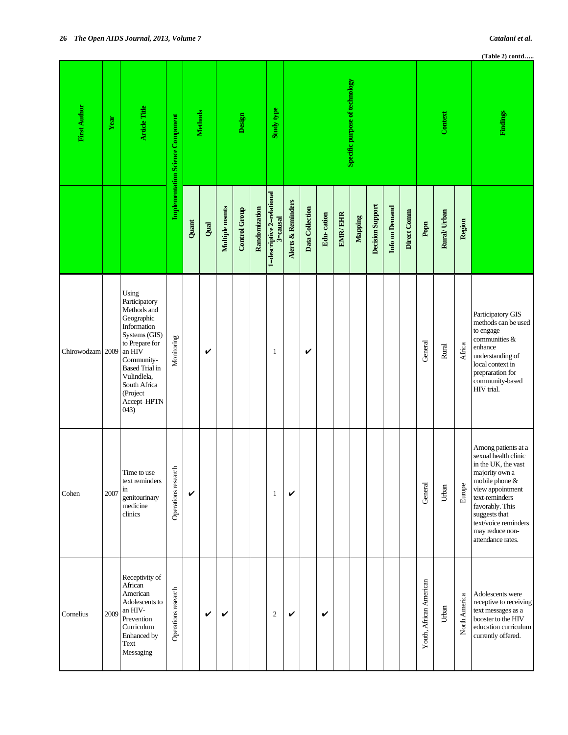| <b>First Author</b> | Year | <b>Article Title</b>                                                                                                                                                                                                     | <b>Implementation Science Component</b> |       | <b>Methods</b> |                | Design               |               | Study type                 |                    |                 |            |                | Specific purpose of technology |                         |                |             |                         | Context     |               | Findings                                                                                                                                                                                                                                         |
|---------------------|------|--------------------------------------------------------------------------------------------------------------------------------------------------------------------------------------------------------------------------|-----------------------------------------|-------|----------------|----------------|----------------------|---------------|----------------------------|--------------------|-----------------|------------|----------------|--------------------------------|-------------------------|----------------|-------------|-------------------------|-------------|---------------|--------------------------------------------------------------------------------------------------------------------------------------------------------------------------------------------------------------------------------------------------|
|                     |      |                                                                                                                                                                                                                          |                                         | Quant | Qual           | Multiple msmts | <b>Control Group</b> | Randomization | 1=descriptive 2=relational | Alerts & Reminders | Data Collection | Edu-cation | <b>EMR/EHR</b> | Mapping                        | <b>Decision Support</b> | Info on Demand | Direct Comm | $_{\rm Popn}$           | Rural Urban | Region        |                                                                                                                                                                                                                                                  |
| Chirowodzam 2009    |      | Using<br>Participatory<br>Methods and<br>Geographic<br>Information<br>Systems (GIS)<br>to Prepare for<br>an HIV<br>Community-<br><b>Based Trial in</b><br>Vulindlela,<br>South Africa<br>(Project<br>Accept-HPTN<br>043) | Monitoring                              |       | V              |                |                      |               | 1                          |                    | V               |            |                |                                |                         |                |             | General                 | Rural       | Africa        | Participatory GIS<br>methods can be used<br>to engage<br>communities $\&$<br>enhance<br>understanding of<br>local context in<br>prepraration for<br>community-based<br>HIV trial.                                                                |
| Cohen               | 2007 | Time to use<br>text reminders<br>in<br>genitourinary<br>medicine<br>clinics                                                                                                                                              | Operations research                     | V     |                |                |                      |               | 1                          | V                  |                 |            |                |                                |                         |                |             | General                 | Urban       | Europe        | Among patients at a<br>sexual health clinic<br>in the UK, the vast<br>majority own a<br>mobile phone &<br>view appointment<br>text-reminders<br>favorably. This<br>suggests that<br>text/voice reminders<br>may reduce non-<br>attendance rates. |
| Cornelius           | 2009 | Receptivity of<br>African<br>American<br>Adolescents to<br>an HIV-<br>Prevention<br>Curriculum<br>Enhanced by<br>Text<br>Messaging                                                                                       | Operations research                     |       | V              | V              |                      |               | $\overline{2}$             | V                  |                 | V          |                |                                |                         |                |             | Youth, African American | Urban       | North America | Adolescents were<br>receptive to receiving<br>text messages as a<br>booster to the HIV<br>education curriculum<br>currently offered.                                                                                                             |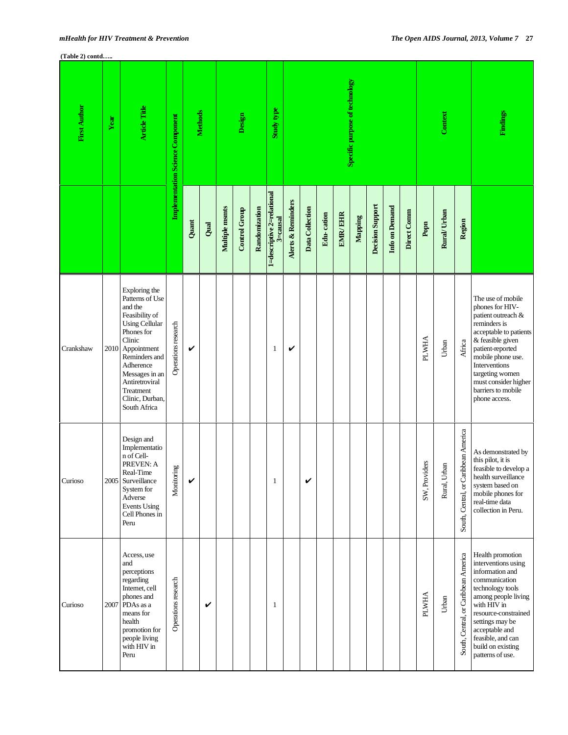| $1 \text{ and } 2 \text{ and } \dots$ |      |                                                                                                                                                                                                                                                      |                                         |                |      |                |                      |               |                            |                               |                 |            |                |                                |                         |                |             |               |              |                                      |                                                                                                                                                                                                                                                                      |
|---------------------------------------|------|------------------------------------------------------------------------------------------------------------------------------------------------------------------------------------------------------------------------------------------------------|-----------------------------------------|----------------|------|----------------|----------------------|---------------|----------------------------|-------------------------------|-----------------|------------|----------------|--------------------------------|-------------------------|----------------|-------------|---------------|--------------|--------------------------------------|----------------------------------------------------------------------------------------------------------------------------------------------------------------------------------------------------------------------------------------------------------------------|
| <b>First Author</b>                   | Year | <b>Article Title</b>                                                                                                                                                                                                                                 | <b>Implementation Science Component</b> | <b>Methods</b> |      |                | Design               |               | Study type                 |                               |                 |            |                | Specific purpose of technology |                         |                |             |               | Context      |                                      | Findings                                                                                                                                                                                                                                                             |
|                                       |      |                                                                                                                                                                                                                                                      |                                         | Quant          | Qual | Multiple msmts | <b>Control Group</b> | Randomization | 1=descriptive 2=relational | <b>Alerts &amp; Reminders</b> | Data Collection | Edu-cation | <b>EMR/EHR</b> | Mapping                        | <b>Decision Support</b> | Info on Demand | Direct Comm | $_{\rm Popn}$ | Rural/Urban  | Region                               |                                                                                                                                                                                                                                                                      |
| Crankshaw                             |      | Exploring the<br>Patterns of Use<br>and the<br>Feasibility of<br><b>Using Cellular</b><br>Phones for<br>Clinic<br>2010 Appointment<br>Reminders and<br>Adherence<br>Messages in an<br>Antiretroviral<br>Treatment<br>Clinic, Durban,<br>South Africa | Operations research                     | V              |      |                |                      |               | 1                          | V                             |                 |            |                |                                |                         |                |             | <b>PLWHA</b>  | Urban        | Africa                               | The use of mobile<br>phones for HIV-<br>patient outreach &<br>reminders is<br>acceptable to patients<br>& feasible given<br>patient-reported<br>mobile phone use.<br>Interventions<br>targeting women<br>must consider higher<br>barriers to mobile<br>phone access. |
| Curioso                               |      | Design and<br>Implementatio<br>n of Cell-<br>PREVEN: A<br>Real-Time<br>2005 Surveillance<br>System for<br>Adverse<br><b>Events Using</b><br>Cell Phones in<br>Peru                                                                                   | Monitoring                              | $\checkmark$   |      |                |                      |               | 1                          |                               | V               |            |                |                                |                         |                |             | SW, Providers | Rural, Urban | South, Central, or Caribbean America | As demonstrated by<br>this pilot, it is<br>feasible to develop a<br>health surveillance<br>system based on<br>mobile phones for<br>real-time data<br>collection in Peru.                                                                                             |
| Curioso                               |      | Access, use<br>and<br>perceptions<br>regarding<br>Internet, cell<br>phones and<br>2007 PDAs as a<br>means for<br>health<br>promotion for<br>people living<br>with HIV in<br>Peru                                                                     | Operations research                     |                | V    |                |                      |               | 1                          |                               |                 |            |                |                                |                         |                |             | <b>PLWHA</b>  | Urban        | South, Central, or Caribbean America | Health promotion<br>interventions using<br>information and<br>communication<br>technology tools<br>among people living<br>with HIV in<br>resource-constrained<br>settings may be<br>acceptable and<br>feasible, and can<br>build on existing<br>patterns of use.     |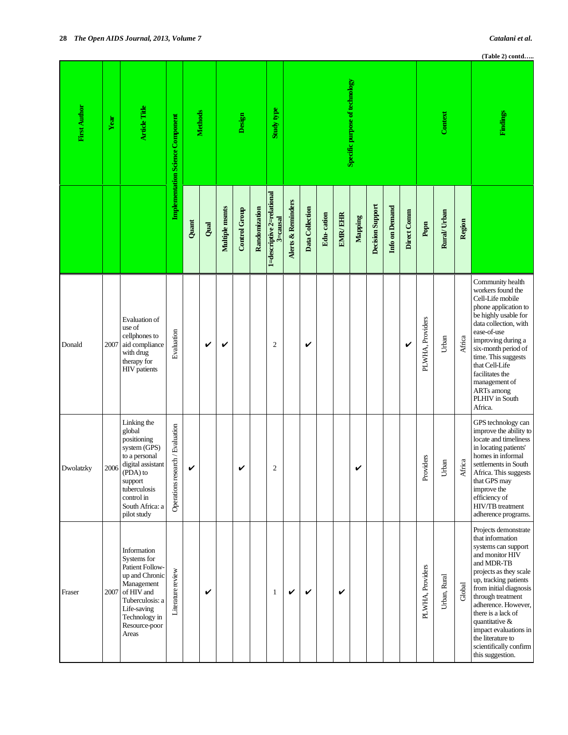| <b>First Author</b> | Year | <b>Article Title</b>                                                                                                                                                              | <b>Implementation Science Component</b> |       | <b>Methods</b> |                | Design               |               | Study type                             |                    |                 |            |                | Specific purpose of technology |                  |                |             |                  | Context      |        | Findings                                                                                                                                                                                                                                                                                                                                                      |
|---------------------|------|-----------------------------------------------------------------------------------------------------------------------------------------------------------------------------------|-----------------------------------------|-------|----------------|----------------|----------------------|---------------|----------------------------------------|--------------------|-----------------|------------|----------------|--------------------------------|------------------|----------------|-------------|------------------|--------------|--------|---------------------------------------------------------------------------------------------------------------------------------------------------------------------------------------------------------------------------------------------------------------------------------------------------------------------------------------------------------------|
|                     |      |                                                                                                                                                                                   |                                         | Quant | Qual           | Multiple msmts | <b>Control Group</b> | Randomization | 1=descriptive 2=relational<br>3=causal | Alerts & Reminders | Data Collection | Edu-cation | <b>EMR/EHR</b> | Mapping                        | Decision Support | Info on Demand | Direct Comm | $_{\rm Popn}$    | Rural/Urban  | Region |                                                                                                                                                                                                                                                                                                                                                               |
| Donald              | 2007 | <b>Evaluation of</b><br>use of<br>cellphones to<br>aid compliance<br>with drug<br>therapy for<br>HIV patients                                                                     | Evaluation                              |       | V              | V              |                      |               | $\overline{c}$                         |                    | V               |            |                |                                |                  |                | V           | PLWHA, Providers | Urban        | Africa | Community health<br>workers found the<br>Cell-Life mobile<br>phone application to<br>be highly usable for<br>data collection, with<br>ease-of-use<br>improving during a<br>six-month period of<br>time. This suggests<br>that Cell-Life<br>facilitates the<br>management of<br>ARTs among<br>PLHIV in South<br>Africa.                                        |
| Dwolatzky           | 2006 | Linking the<br>global<br>positioning<br>system (GPS)<br>to a personal<br>digital assistant<br>(PDA) to<br>support<br>tuberculosis<br>control in<br>South Africa: a<br>pilot study | research / Evaluation<br>Operations     | V     |                |                | V                    |               | $\overline{c}$                         |                    |                 |            |                | V                              |                  |                |             | Providers        | Urban        | Africa | GPS technology can<br>improve the ability to<br>locate and timeliness<br>in locating patients'<br>homes in informal<br>settlements in South<br>Africa. This suggests<br>that GPS may<br>improve the<br>efficiency of<br>HIV/TB treatment<br>adherence programs.                                                                                               |
| Fraser              | 2007 | Information<br>Systems for<br>Patient Follow-<br>up and Chronic<br>Management<br>of HIV and<br>Tuberculosis: a<br>Life-saving<br>Technology in<br>Resource-poor<br>Areas          | Literature review                       |       | V              |                |                      |               | 1                                      | V                  | V               |            | V              |                                |                  |                |             | PLWHA, Providers | Urban, Rural | Global | Projects demonstrate<br>that information<br>systems can support<br>and monitor HIV<br>and MDR-TB<br>projects as they scale<br>up, tracking patients<br>from initial diagnosis<br>through treatment<br>adherence. However,<br>there is a lack of<br>quantitative &<br>impact evaluations in<br>the literature to<br>scientifically confirm<br>this suggestion. |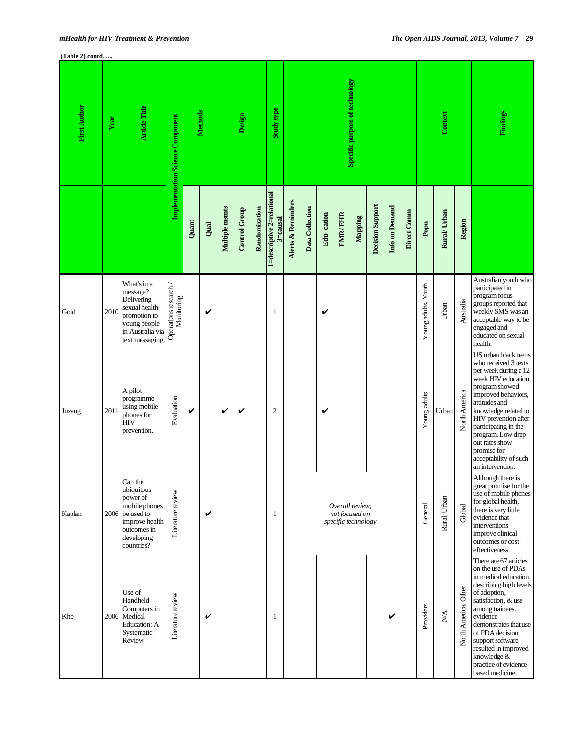| $\left($ radic $\mathbb{Z}$ contra $\ldots$ |      |                                                                                                                                    |                                         |       |                |                |                      |               |                                        |                    |                 |            |                                                          |                                |                         |                |             |                     |                        |                      |                                                                                                                                                                                                                                                                                                                                  |
|---------------------------------------------|------|------------------------------------------------------------------------------------------------------------------------------------|-----------------------------------------|-------|----------------|----------------|----------------------|---------------|----------------------------------------|--------------------|-----------------|------------|----------------------------------------------------------|--------------------------------|-------------------------|----------------|-------------|---------------------|------------------------|----------------------|----------------------------------------------------------------------------------------------------------------------------------------------------------------------------------------------------------------------------------------------------------------------------------------------------------------------------------|
| <b>First Author</b>                         | Year | <b>Article Title</b>                                                                                                               | <b>Implementation Science Component</b> |       | <b>Methods</b> |                | Design               |               | Study type                             |                    |                 |            |                                                          | Specific purpose of technology |                         |                |             |                     | Context                |                      | Findings                                                                                                                                                                                                                                                                                                                         |
|                                             |      |                                                                                                                                    |                                         | Quant | Qual           | Multiple msmts | <b>Control Group</b> | Randomization | 1=descriptive 2=relational<br>3=causal | Alerts & Reminders | Data Collection | Edu-cation | <b>EMR/EHR</b>                                           | Mapping                        | <b>Decision Support</b> | Info on Demand | Direct Comm | $_{\rm Popn}$       | Rural/Urban            | Region               |                                                                                                                                                                                                                                                                                                                                  |
| Gold                                        | 2010 | What's in a<br>message?<br>Delivering<br>sexual health<br>promotion to<br>young people<br>in Australia via<br>text messaging.      | Operations research /<br>Monitoring     |       | V              |                |                      |               | 1                                      |                    |                 | V          |                                                          |                                |                         |                |             | Young adults, Youth | Urban                  | Australia            | Australian youth who<br>participated in<br>program focus<br>groups reported that<br>weekly SMS was an<br>acceptable way to be<br>engaged and<br>educated on sexual<br>health.                                                                                                                                                    |
| Juzang                                      | 2011 | A pilot<br>programme<br>using mobile<br>phones for<br><b>HIV</b><br>prevention.                                                    | Evaluation                              | V     |                | V              | V                    |               | $\mathfrak{2}$                         |                    |                 | V          |                                                          |                                |                         |                |             | Young adults        | Urban                  | North America        | US urban black teens<br>who received 3 texts<br>per week during a 12-<br>week HIV education<br>program showed<br>improved behaviors,<br>attitudes and<br>knowledge related to<br>HIV prevention after<br>participating in the<br>program. Low drop<br>out rates show<br>promise for<br>acceptability of such<br>an intervention. |
| Kaplan                                      |      | Can the<br>ubiquitous<br>power of<br>mobile phones<br>2006 be used to<br>improve health<br>outcomes in<br>developing<br>countries? | Literature review                       |       | V              |                |                      |               | 1                                      |                    |                 |            | Overall review,<br>not focused on<br>specific technology |                                |                         |                |             | General             | Rural, Urban           | Global               | Although there is<br>great promise for the<br>use of mobile phones<br>for global health,<br>there is very little<br>evidence that<br>interventions<br>improve clinical<br>outcomes or cost-<br>effectiveness.                                                                                                                    |
| Kho                                         |      | Use of<br>Handheld<br>Computers in<br>2006 Medical<br>Education: A<br>Systematic<br>Review                                         | Literature review                       |       | V              |                |                      |               | 1                                      |                    |                 |            |                                                          |                                |                         | V              |             | Providers           | $\mathbb{N}\mathbb{A}$ | North America, Other | There are 67 articles<br>on the use of PDAs<br>in medical education,<br>describing high levels<br>of adoption,<br>satisfaction, & use<br>among trainees.<br>evidence<br>demonstrates that use<br>of PDA decision<br>support software<br>resulted in improved<br>knowledge &<br>practice of evidence-<br>based medicine.          |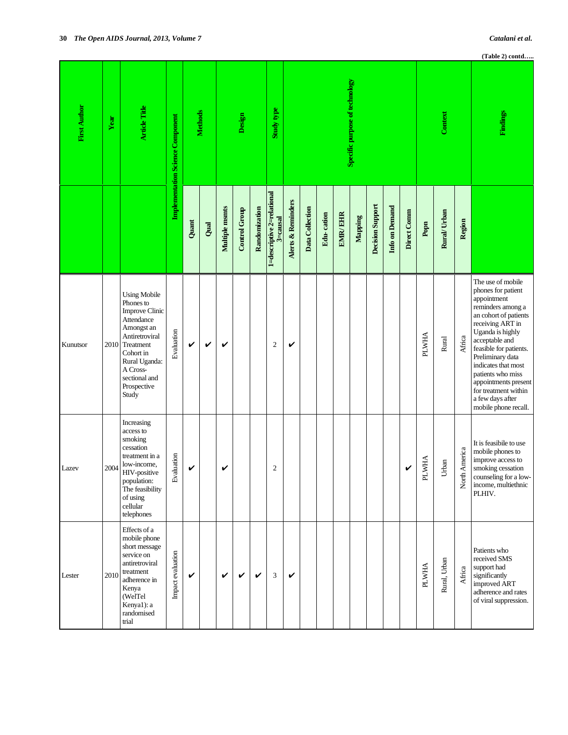| <b>First Author</b> | Year | <b>Article Title</b>                                                                                                                                                                                    | <b>Implementation Science Component</b> |       | <b>Methods</b> |                | Design               |               | Study type                             |                    |                 |            |                | Specific purpose of technology |                  |                |              |               | Context      |                   | Findings                                                                                                                                                                                                                                                                                                                                             |
|---------------------|------|---------------------------------------------------------------------------------------------------------------------------------------------------------------------------------------------------------|-----------------------------------------|-------|----------------|----------------|----------------------|---------------|----------------------------------------|--------------------|-----------------|------------|----------------|--------------------------------|------------------|----------------|--------------|---------------|--------------|-------------------|------------------------------------------------------------------------------------------------------------------------------------------------------------------------------------------------------------------------------------------------------------------------------------------------------------------------------------------------------|
|                     |      |                                                                                                                                                                                                         |                                         | Quant | Qual           | Multiple msmts | <b>Control Group</b> | Randomization | 1=descriptive 2=relational<br>3=causal | Alerts & Reminders | Data Collection | Edu-cation | <b>EMR/EHR</b> | Mapping                        | Decision Support | Info on Demand | Direct Comm  | $_{\rm Popn}$ | Rural/Urban  | Region            |                                                                                                                                                                                                                                                                                                                                                      |
| Kunutsor            | 2010 | <b>Using Mobile</b><br>Phones to<br><b>Improve Clinic</b><br>Attendance<br>Amongst an<br>Antiretroviral<br>Treatment<br>Cohort in<br>Rural Uganda:<br>A Cross-<br>sectional and<br>Prospective<br>Study | Evaluation                              | V     | $\checkmark$   | V              |                      |               | $\overline{2}$                         | V                  |                 |            |                |                                |                  |                |              | <b>PLWHA</b>  | Rural        | Africa            | The use of mobile<br>phones for patient<br>appointment<br>reminders among a<br>an cohort of patients<br>receiving ART in<br>Uganda is highly<br>acceptable and<br>feasible for patients.<br>Preliminary data<br>indicates that most<br>patients who miss<br>appointments present<br>for treatment within<br>a few days after<br>mobile phone recall. |
| Lazev               | 2004 | Increasing<br>access to<br>smoking<br>cessation<br>treatment in a<br>low-income,<br>HIV-positive<br>population:<br>The feasibility<br>of using<br>cellular<br>telephones                                | Evaluation                              | V     |                | V              |                      |               | $\overline{c}$                         |                    |                 |            |                |                                |                  |                | $\checkmark$ | <b>PLWHA</b>  | Urban        | orth America<br>ž | It is feasibile to use<br>mobile phones to<br>improve access to<br>smoking cessation<br>counseling for a low-<br>income, multiethnic<br>PLHIV.                                                                                                                                                                                                       |
| Lester              | 2010 | Effects of a<br>mobile phone<br>short message<br>service on<br>antiretroviral<br>treatment<br>adherence in<br>Kenya<br>(WelTel<br>Kenya1): a<br>randomised<br>trial                                     | Impact evaluation                       | V     |                | V              | V                    | $\checkmark$  | 3                                      | V                  |                 |            |                |                                |                  |                |              | <b>PLWHA</b>  | Rural, Urban | Africa            | Patients who<br>received SMS<br>support had<br>significantly<br>improved ART<br>adherence and rates<br>of viral suppression.                                                                                                                                                                                                                         |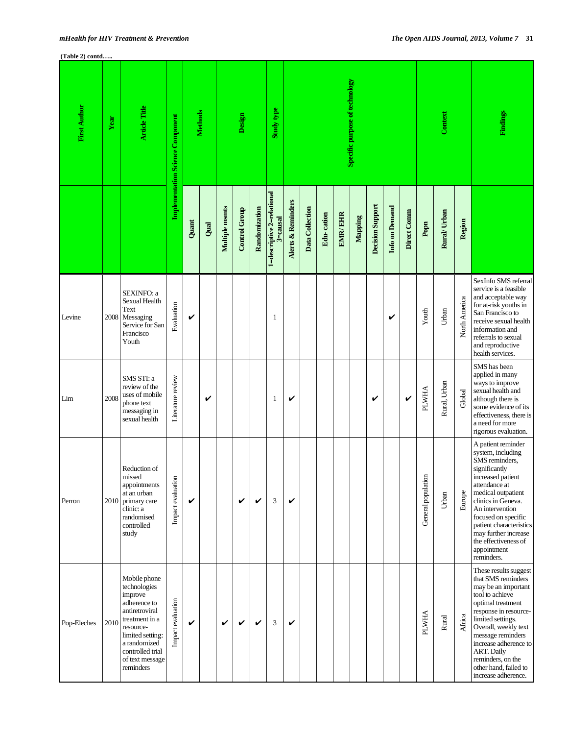| (radie 2) contu $\ldots$ |      |                                                                                                                                                                                                  |                                         |       |                |                |                      |               |                                        |                    |                 |            |                |                                |                  |                |              |                    |              |               |                                                                                                                                                                                                                                                                                                                   |
|--------------------------|------|--------------------------------------------------------------------------------------------------------------------------------------------------------------------------------------------------|-----------------------------------------|-------|----------------|----------------|----------------------|---------------|----------------------------------------|--------------------|-----------------|------------|----------------|--------------------------------|------------------|----------------|--------------|--------------------|--------------|---------------|-------------------------------------------------------------------------------------------------------------------------------------------------------------------------------------------------------------------------------------------------------------------------------------------------------------------|
| <b>First Author</b>      | Year | <b>Article Title</b>                                                                                                                                                                             | <b>Implementation Science Component</b> |       | <b>Methods</b> |                | Design               |               | Study type                             |                    |                 |            |                | Specific purpose of technology |                  |                |              |                    | Context      |               | Findings                                                                                                                                                                                                                                                                                                          |
|                          |      |                                                                                                                                                                                                  |                                         | Quant | Qual           | Multiple msmts | <b>Control Group</b> | Randomization | 1=descriptive 2=relational<br>3=causal | Alerts & Reminders | Data Collection | Edu-cation | <b>EMR/EHR</b> | Mapping                        | Decision Support | Info on Demand | Direct Comm  | $_{\rm Popn}$      | Rural/Urban  | Region        |                                                                                                                                                                                                                                                                                                                   |
| Levine                   |      | SEXINFO: a<br>Sexual Health<br>Text<br>2008 Messaging<br>Service for San<br>Francisco<br>Youth                                                                                                   | Evaluation                              | V     |                |                |                      |               | 1                                      |                    |                 |            |                |                                |                  | V              |              | Youth              | Urban        | North America | SexInfo SMS referral<br>service is a feasible<br>and acceptable way<br>for at-risk youths in<br>San Francisco to<br>receive sexual health<br>information and<br>referrals to sexual<br>and reproductive<br>health services.                                                                                       |
| Lim                      | 2008 | SMS STI: a<br>review of the<br>uses of mobile<br>phone text<br>messaging in<br>sexual health                                                                                                     | Literature review                       |       | V              |                |                      |               | 1                                      | V                  |                 |            |                |                                | V                |                | $\checkmark$ | <b>PLWHA</b>       | Rural, Urban | Global        | SMS has been<br>applied in many<br>ways to improve<br>sexual health and<br>although there is<br>some evidence of its<br>effectiveness, there is<br>a need for more<br>rigorous evaluation.                                                                                                                        |
| Perron                   |      | Reduction of<br>missed<br>appointments<br>at an urban<br>2010 primary care<br>clinic: a<br>randomised<br>controlled<br>study                                                                     | Impact evaluation                       | V     |                |                | V                    | V             | 3                                      | V                  |                 |            |                |                                |                  |                |              | General population | Urban        | Europe        | A patient reminder<br>system, including<br>SMS reminders,<br>significantly<br>increased patient<br>attendance at<br>medical outpatient<br>clinics in Geneva.<br>An intervention<br>focused on specific<br>patient characteristics<br>may further increase<br>the effectiveness of<br>appointment<br>reminders.    |
| Pop-Eleches              | 2010 | Mobile phone<br>technologies<br>improve<br>adherence to<br>antiretroviral<br>treatment in a<br>resource-<br>limited setting:<br>a randomized<br>controlled trial<br>of text message<br>reminders | Impact evaluation                       | V     |                | V              | V                    | V             | 3                                      | V                  |                 |            |                |                                |                  |                |              | <b>PLWHA</b>       | Rural        | Africa        | These results suggest<br>that SMS reminders<br>may be an important<br>tool to achieve<br>optimal treatment<br>response in resource-<br>limited settings.<br>Overall, weekly text<br>message reminders<br>increase adherence to<br>ART. Daily<br>reminders, on the<br>other hand, failed to<br>increase adherence. |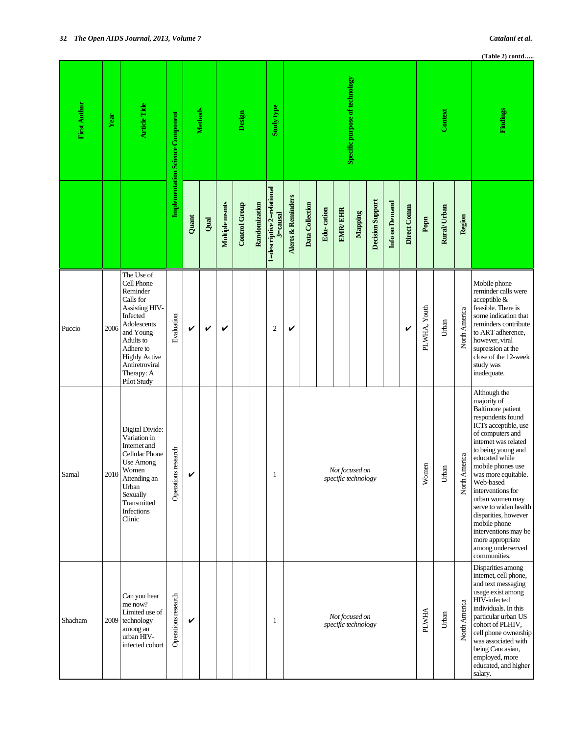| <b>First Author</b> | Year | <b>Article Title</b>                                                                                                                                                                                         | <b>Implementation Science Component</b> |              | <b>Methods</b> |                | Design               |               | Study type                             | Specific purpose of technology |                 |            |                |                                       | Context          |                |              | Findings     |             |                   |                                                                                                                                                                                                                                                                                                                                                                                                                                             |
|---------------------|------|--------------------------------------------------------------------------------------------------------------------------------------------------------------------------------------------------------------|-----------------------------------------|--------------|----------------|----------------|----------------------|---------------|----------------------------------------|--------------------------------|-----------------|------------|----------------|---------------------------------------|------------------|----------------|--------------|--------------|-------------|-------------------|---------------------------------------------------------------------------------------------------------------------------------------------------------------------------------------------------------------------------------------------------------------------------------------------------------------------------------------------------------------------------------------------------------------------------------------------|
|                     |      |                                                                                                                                                                                                              |                                         | Quant        | Qual           | Multiple msmts | <b>Control Group</b> | Randomization | 1=descriptive 2=relational<br>3=causal | Alerts & Reminders             | Data Collection | Edu-cation | <b>EMR/EHR</b> | Mapping                               | Decision Support | Info on Demand | Direct Comm  | ${\bf Popn}$ | Rural/Urban | Region            |                                                                                                                                                                                                                                                                                                                                                                                                                                             |
| Puccio              | 2006 | The Use of<br>Cell Phone<br>Reminder<br>Calls for<br>Assisting HIV-<br>Infected<br>Adolescents<br>and Young<br>Adults to<br>Adhere to<br><b>Highly Active</b><br>Antiretroviral<br>Therapy: A<br>Pilot Study | Evaluation                              | $\checkmark$ | V              | $\checkmark$   |                      |               | $\overline{c}$                         | V                              |                 |            |                |                                       |                  |                | $\checkmark$ | PLWHA, Youth | Urban       | North America     | Mobile phone<br>reminder calls were<br>acceptible &<br>feasible. There is<br>some indication that<br>reminders contribute<br>to ART adherence,<br>however, viral<br>supression at the<br>close of the 12-week<br>study was<br>inadequate.                                                                                                                                                                                                   |
| Samal               | 2010 | Digital Divide:<br>Variation in<br>Internet and<br>Cellular Phone<br>Use Among<br>Women<br>Attending an<br>Urban<br>Sexually<br>Transmitted<br>Infections<br>Clinic                                          | Operations research                     | $\checkmark$ |                |                |                      |               | 1                                      |                                |                 |            |                | Not focused on<br>specific technology |                  |                |              | Women        | Urban       | th America<br>Nor | Although the<br>majority of<br><b>Baltimore</b> patient<br>respondents found<br>ICTs acceptible, use<br>of computers and<br>internet was related<br>to being young and<br>educated while<br>mobile phones use<br>was more equitable.<br>Web-based<br>interventions for<br>urban women may<br>serve to widen health<br>disparities, however<br>mobile phone<br>interventions may be<br>more appropriate<br>among underserved<br>communities. |
| Shacham             | 2009 | Can you hear<br>me now?<br>Limited use of<br>technology<br>among an<br>urban HIV-<br>infected cohort                                                                                                         | Operations research                     | V            |                |                |                      |               | 1                                      |                                |                 |            |                | Not focused on<br>specific technology |                  |                |              | <b>PLWHA</b> | Urban       | North America     | Disparities among<br>internet, cell phone,<br>and text messaging<br>usage exist among<br>HIV-infected<br>individuals. In this<br>particular urban US<br>cohort of PLHIV,<br>cell phone ownership<br>was associated with<br>being Caucasian,<br>employed, more<br>educated, and higher<br>salary.                                                                                                                                            |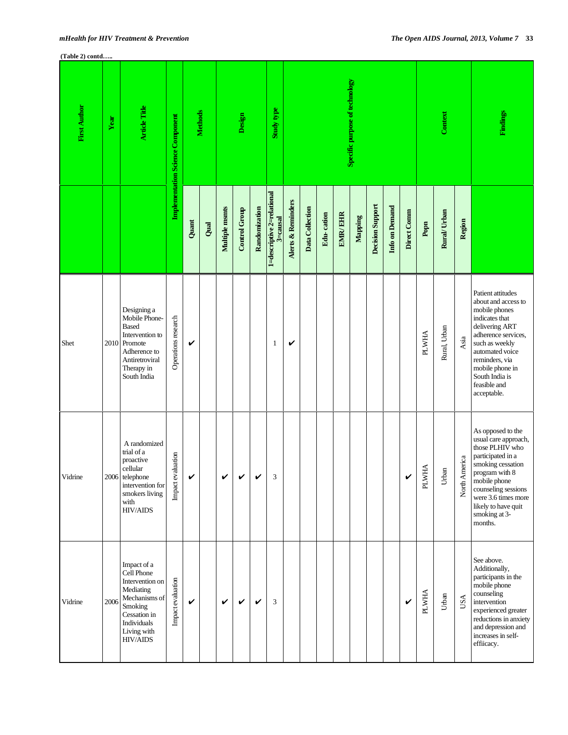| <b>First Author</b> | Year | <b>Article Title</b>                                                                                                                                   | <b>Implementation Science Component</b> |              | <b>Methods</b> |                | Design        |               | Study type                             |                    |                 |            |                | Specific purpose of technology |                  |                |              |               | Context      |               | Findings                                                                                                                                                                                                                                        |
|---------------------|------|--------------------------------------------------------------------------------------------------------------------------------------------------------|-----------------------------------------|--------------|----------------|----------------|---------------|---------------|----------------------------------------|--------------------|-----------------|------------|----------------|--------------------------------|------------------|----------------|--------------|---------------|--------------|---------------|-------------------------------------------------------------------------------------------------------------------------------------------------------------------------------------------------------------------------------------------------|
|                     |      |                                                                                                                                                        |                                         | Quant        | Qual           | Multiple msmts | Control Group | Randomization | 1=descriptive 2=relational<br>3=causal | Alerts & Reminders | Data Collection | Edu-cation | <b>EMR/EHR</b> | Mapping                        | Decision Support | Info on Demand | Direct Comm  | $_{\rm Popn}$ | Rural/Urban  | Region        |                                                                                                                                                                                                                                                 |
| Shet                | 2010 | Designing a<br>Mobile Phone-<br><b>Based</b><br>Intervention to<br>Promote<br>Adherence to<br>Antiretroviral<br>Therapy in<br>South India              | Operations research                     | V            |                |                |               |               | 1                                      | V                  |                 |            |                |                                |                  |                |              | <b>PLWHA</b>  | Rural, Urban | Asia          | Patient attitudes<br>about and access to<br>mobile phones<br>indicates that<br>delivering ART<br>adherence services,<br>such as weekly<br>automated voice<br>reminders, via<br>mobile phone in<br>South India is<br>feasible and<br>acceptable. |
| Vidrine             |      | A randomized<br>trial of a<br>proactive<br>cellular<br>2006 telephone<br>intervention for<br>smokers living<br>with<br><b>HIV/AIDS</b>                 | raluation<br>Impact ev                  | $\checkmark$ |                |                |               |               | 3                                      |                    |                 |            |                |                                |                  |                |              | <b>PLWHA</b>  | Urban        | North America | As opposed to the<br>usual care approach,<br>those PLHIV who<br>participated in a<br>smoking cessation<br>program with 8<br>mobile phone<br>counseling sessions<br>were 3.6 times more<br>likely to have quit<br>smoking at 3-<br>months.       |
| Vidrine             | 2006 | Impact of a<br>Cell Phone<br>Intervention on<br>Mediating<br>Mechanisms of<br>Smoking<br>Cessation in<br>Individuals<br>Living with<br><b>HIV/AIDS</b> | Impact evaluation                       | V            |                | V              | V             | V             | 3                                      |                    |                 |            |                |                                |                  |                | $\checkmark$ | <b>PLWHA</b>  | Urban        | <b>USA</b>    | See above.<br>Additionally,<br>participants in the<br>mobile phone<br>counseling<br>intervention<br>experienced greater<br>reductions in anxiety<br>and depression and<br>increases in self-<br>effiicacy.                                      |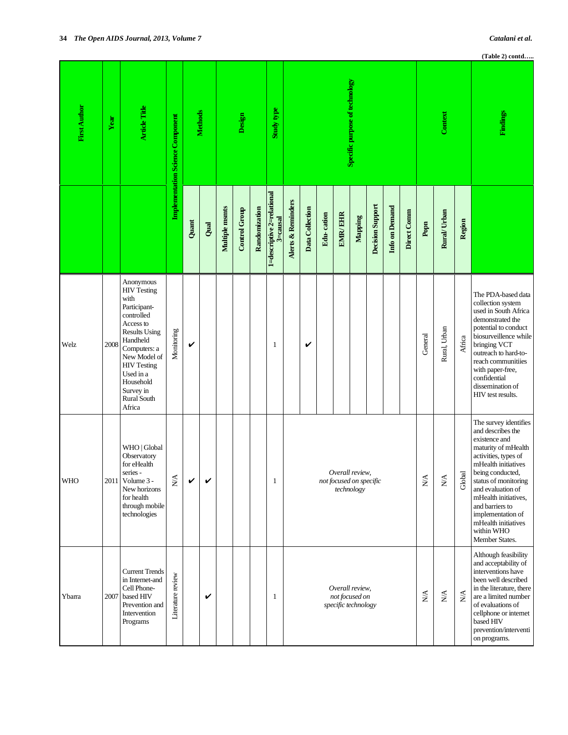| <b>First Author</b> | Year | Article Title                                                                                                                                                                                                                                | <b>Implementation Science Component</b> |       | <b>Methods</b> |                | Design               |               | Study type                             |                    |                 |            |                                                          | Specific purpose of technology |                  |                |             |                              | Context                |                                 | Findings                                                                                                                                                                                                                                                                                                                  |
|---------------------|------|----------------------------------------------------------------------------------------------------------------------------------------------------------------------------------------------------------------------------------------------|-----------------------------------------|-------|----------------|----------------|----------------------|---------------|----------------------------------------|--------------------|-----------------|------------|----------------------------------------------------------|--------------------------------|------------------|----------------|-------------|------------------------------|------------------------|---------------------------------|---------------------------------------------------------------------------------------------------------------------------------------------------------------------------------------------------------------------------------------------------------------------------------------------------------------------------|
|                     |      |                                                                                                                                                                                                                                              |                                         | Quant | Qual           | Multiple msmts | <b>Control Group</b> | Randomization | 1=descriptive 2=relational<br>3=causal | Alerts & Reminders | Data Collection | Edu-cation | <b>EMR/EHR</b>                                           | Mapping                        | Decision Support | Info on Demand | Direct Comm | $_{\rm Popn}$                | Rural/Urban            | Region                          |                                                                                                                                                                                                                                                                                                                           |
| Welz                | 2008 | Anonymous<br><b>HIV</b> Testing<br>with<br>Participant-<br>controlled<br>Access to<br><b>Results Using</b><br>Handheld<br>Computers: a<br>New Model of<br><b>HIV Testing</b><br>Used in a<br>Household<br>Survey in<br>Rural South<br>Africa | Monitoring                              | V     |                |                |                      |               | 1                                      |                    | V               |            |                                                          |                                |                  |                |             | General                      | Rural, Urban           | Africa                          | The PDA-based data<br>collection system<br>used in South Africa<br>demonstrated the<br>potential to conduct<br>biosurveillence while<br>bringing VCT<br>outreach to hard-to-<br>reach communitiies<br>with paper-free,<br>confidential<br>dissemination of<br>HIV test results.                                           |
| <b>WHO</b>          |      | WHO   Global<br>Observatory<br>for eHealth<br>series -<br>2011 Volume 3 -<br>New horizons<br>for health<br>through mobile<br>technologies                                                                                                    | $\mathbf{N}\mathbf{A}$                  | V     | V              |                |                      |               | $\mathbf{1}$                           |                    |                 |            | Overall review,<br>not focused on specific               | technology                     |                  |                |             | $\stackrel{\triangle}{\geq}$ | $\mathbf{N}\mathbf{A}$ | Global                          | The survey identifies<br>and describes the<br>existence and<br>maturity of mHealth<br>activities, types of<br>mHealth initiatives<br>being conducted,<br>status of monitoring<br>and evaluation of<br>mHealth initiatives,<br>and barriers to<br>implementation of<br>mHealth initiatives<br>within WHO<br>Member States. |
| Ybarra              | 2007 | <b>Current Trends</b><br>in Internet-and<br>Cell Phone-<br>based HIV<br>Prevention and<br>Intervention<br>Programs                                                                                                                           | Literature review                       |       | V              |                |                      |               | 1                                      |                    |                 |            | Overall review,<br>not focused on<br>specific technology |                                |                  |                |             | $\mathbf{N}\mathbf{A}$       | $\mathbf{N}\mathbf{A}$ | $\frac{\mathbf{A}}{\mathbf{A}}$ | Although feasibility<br>and acceptability of<br>interventions have<br>been well described<br>in the literature, there<br>are a limited number<br>of evaluations of<br>cellphone or internet<br>based HIV<br>prevention/interventi<br>on programs.                                                                         |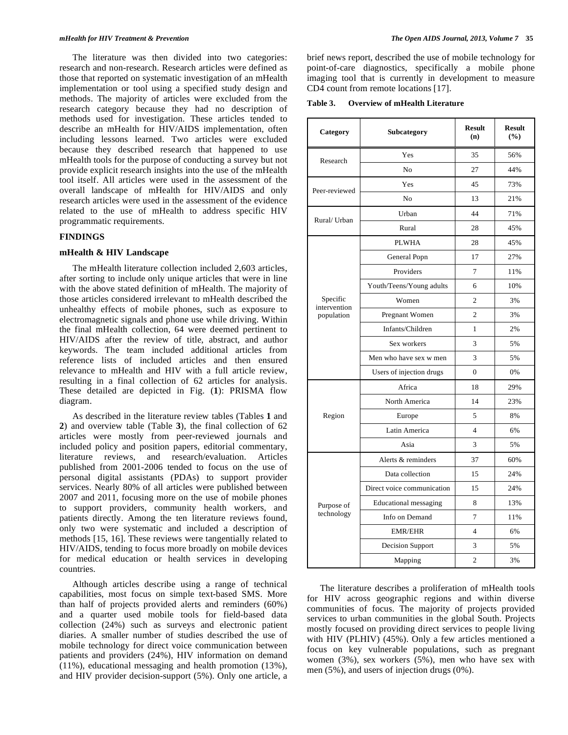The literature was then divided into two categories: research and non-research. Research articles were defined as those that reported on systematic investigation of an mHealth implementation or tool using a specified study design and methods. The majority of articles were excluded from the research category because they had no description of methods used for investigation. These articles tended to describe an mHealth for HIV/AIDS implementation, often including lessons learned. Two articles were excluded because they described research that happened to use mHealth tools for the purpose of conducting a survey but not provide explicit research insights into the use of the mHealth tool itself. All articles were used in the assessment of the overall landscape of mHealth for HIV/AIDS and only research articles were used in the assessment of the evidence related to the use of mHealth to address specific HIV programmatic requirements.

#### **FINDINGS**

#### **mHealth & HIV Landscape**

 The mHealth literature collection included 2,603 articles, after sorting to include only unique articles that were in line with the above stated definition of mHealth. The majority of those articles considered irrelevant to mHealth described the unhealthy effects of mobile phones, such as exposure to electromagnetic signals and phone use while driving. Within the final mHealth collection, 64 were deemed pertinent to HIV/AIDS after the review of title, abstract, and author keywords. The team included additional articles from reference lists of included articles and then ensured relevance to mHealth and HIV with a full article review, resulting in a final collection of 62 articles for analysis. These detailed are depicted in Fig. (**1**): PRISMA flow diagram.

 As described in the literature review tables (Tables **1** and **2**) and overview table (Table **3**), the final collection of 62 articles were mostly from peer-reviewed journals and included policy and position papers, editorial commentary, literature reviews, and research/evaluation. Articles published from 2001-2006 tended to focus on the use of personal digital assistants (PDAs) to support provider services. Nearly 80% of all articles were published between 2007 and 2011, focusing more on the use of mobile phones to support providers, community health workers, and patients directly. Among the ten literature reviews found, only two were systematic and included a description of methods [15, 16]. These reviews were tangentially related to HIV/AIDS, tending to focus more broadly on mobile devices for medical education or health services in developing countries.

 Although articles describe using a range of technical capabilities, most focus on simple text-based SMS. More than half of projects provided alerts and reminders (60%) and a quarter used mobile tools for field-based data collection (24%) such as surveys and electronic patient diaries. A smaller number of studies described the use of mobile technology for direct voice communication between patients and providers (24%), HIV information on demand (11%), educational messaging and health promotion (13%), and HIV provider decision-support (5%). Only one article, a

brief news report, described the use of mobile technology for point-of-care diagnostics, specifically a mobile phone imaging tool that is currently in development to measure CD4 count from remote locations [17].

**Table 3. Overview of mHealth Literature** 

| Category                 | Subcategory                | <b>Result</b><br>(n) | <b>Result</b><br>(%) |
|--------------------------|----------------------------|----------------------|----------------------|
| Research                 | Yes                        | 35                   | 56%                  |
|                          | N <sub>0</sub>             | 27                   | 44%                  |
| Peer-reviewed            | Yes                        | 45                   | 73%                  |
|                          | No                         | 13                   | 21%                  |
| Rural/ Urban             | Urban                      | 44                   | 71%                  |
|                          | Rural                      | 28                   | 45%                  |
|                          | <b>PLWHA</b>               | 28                   | 45%                  |
|                          | General Popn               | 17                   | 27%                  |
|                          | Providers                  | $\overline{7}$       | 11%                  |
|                          | Youth/Teens/Young adults   | 6                    | 10%                  |
| Specific<br>intervention | Women                      | $\overline{2}$       | 3%                   |
| population               | Pregnant Women             | $\overline{c}$       | 3%                   |
|                          | Infants/Children           | $\mathbf{1}$         | 2%                   |
|                          | Sex workers                | 3                    | 5%                   |
|                          | Men who have sex w men     | 3                    | 5%                   |
|                          | Users of injection drugs   | $\mathbf{0}$         | 0%                   |
|                          | Africa                     | 18                   | 29%                  |
|                          | North America              | 14                   | 23%                  |
| Region                   | Europe                     | 5                    | 8%                   |
|                          | Latin America              | $\overline{4}$       | 6%                   |
|                          | Asia                       | 3                    | 5%                   |
|                          | Alerts & reminders         | 37                   | 60%                  |
|                          | Data collection            | 15                   | 24%                  |
|                          | Direct voice communication | 15                   | 24%                  |
| Purpose of               | Educational messaging      | 8                    | 13%                  |
| technology               | Info on Demand             | 7                    | 11%                  |
|                          | <b>EMR/EHR</b>             | $\overline{4}$       | 6%                   |
|                          | Decision Support           | 3                    | 5%                   |
|                          | Mapping                    | $\overline{2}$       | 3%                   |

 The literature describes a proliferation of mHealth tools for HIV across geographic regions and within diverse communities of focus. The majority of projects provided services to urban communities in the global South. Projects mostly focused on providing direct services to people living with HIV (PLHIV) (45%). Only a few articles mentioned a focus on key vulnerable populations, such as pregnant women (3%), sex workers (5%), men who have sex with men (5%), and users of injection drugs (0%).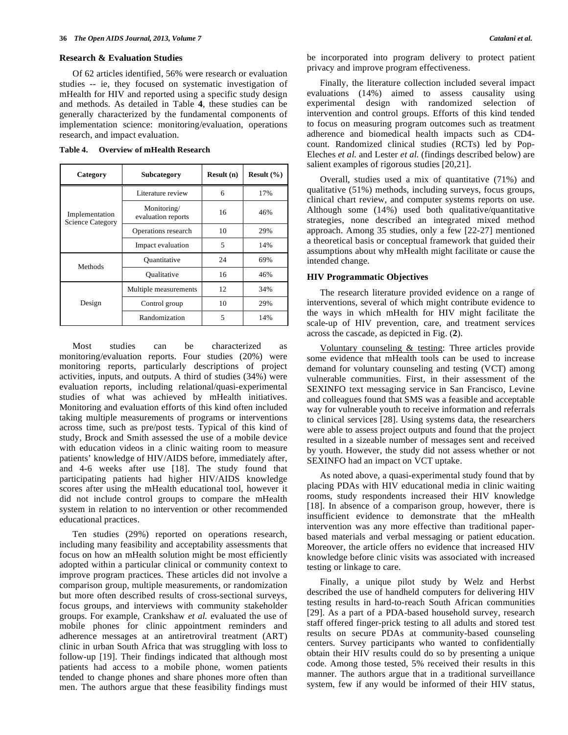#### **Research & Evaluation Studies**

 Of 62 articles identified, 56% were research or evaluation studies -- ie, they focused on systematic investigation of mHealth for HIV and reported using a specific study design and methods. As detailed in Table **4**, these studies can be generally characterized by the fundamental components of implementation science: monitoring/evaluation, operations research, and impact evaluation.

| Table 4.<br><b>Overview of mHealth Research</b> |
|-------------------------------------------------|
|                                                 |

| Category                                  | Subcategory                       | Result (n) | Result $(\% )$ |
|-------------------------------------------|-----------------------------------|------------|----------------|
|                                           | Literature review                 | 6          | 17%            |
| Implementation<br><b>Science Category</b> | Monitoring/<br>evaluation reports | 16         | 46%            |
|                                           | Operations research               | 10         | 29%            |
|                                           | Impact evaluation                 | 5          | 14%            |
| Methods                                   | Quantitative                      | 24         | 69%            |
|                                           | Oualitative                       | 16         | 46%            |
|                                           | Multiple measurements             | 12         | 34%            |
| Design                                    | Control group                     | 10         | 29%            |
|                                           | Randomization                     | 5          | 14%            |

 Most studies can be characterized as monitoring/evaluation reports. Four studies (20%) were monitoring reports, particularly descriptions of project activities, inputs, and outputs. A third of studies (34%) were evaluation reports, including relational/quasi-experimental studies of what was achieved by mHealth initiatives. Monitoring and evaluation efforts of this kind often included taking multiple measurements of programs or interventions across time, such as pre/post tests. Typical of this kind of study, Brock and Smith assessed the use of a mobile device with education videos in a clinic waiting room to measure patients' knowledge of HIV/AIDS before, immediately after, and 4-6 weeks after use [18]. The study found that participating patients had higher HIV/AIDS knowledge scores after using the mHealth educational tool, however it did not include control groups to compare the mHealth system in relation to no intervention or other recommended educational practices.

 Ten studies (29%) reported on operations research, including many feasibility and acceptability assessments that focus on how an mHealth solution might be most efficiently adopted within a particular clinical or community context to improve program practices. These articles did not involve a comparison group, multiple measurements, or randomization but more often described results of cross-sectional surveys, focus groups, and interviews with community stakeholder groups. For example, Crankshaw *et al.* evaluated the use of mobile phones for clinic appointment reminders and adherence messages at an antiretroviral treatment (ART) clinic in urban South Africa that was struggling with loss to follow-up [19]. Their findings indicated that although most patients had access to a mobile phone, women patients tended to change phones and share phones more often than men. The authors argue that these feasibility findings must

 Finally, the literature collection included several impact evaluations (14%) aimed to assess causality using experimental design with randomized selection of intervention and control groups. Efforts of this kind tended to focus on measuring program outcomes such as treatment adherence and biomedical health impacts such as CD4 count. Randomized clinical studies (RCTs) led by Pop-Eleches *et al.* and Lester *et al.* (findings described below) are salient examples of rigorous studies [20,21].

 Overall, studies used a mix of quantitative (71%) and qualitative (51%) methods, including surveys, focus groups, clinical chart review, and computer systems reports on use. Although some (14%) used both qualitative/quantitative strategies, none described an integrated mixed method approach. Among 35 studies, only a few [22-27] mentioned a theoretical basis or conceptual framework that guided their assumptions about why mHealth might facilitate or cause the intended change.

### **HIV Programmatic Objectives**

 The research literature provided evidence on a range of interventions, several of which might contribute evidence to the ways in which mHealth for HIV might facilitate the scale-up of HIV prevention, care, and treatment services across the cascade, as depicted in Fig. (**2**).

 Voluntary counseling & testing: Three articles provide some evidence that mHealth tools can be used to increase demand for voluntary counseling and testing (VCT) among vulnerable communities. First, in their assessment of the SEXINFO text messaging service in San Francisco, Levine and colleagues found that SMS was a feasible and acceptable way for vulnerable youth to receive information and referrals to clinical services [28]. Using systems data, the researchers were able to assess project outputs and found that the project resulted in a sizeable number of messages sent and received by youth. However, the study did not assess whether or not SEXINFO had an impact on VCT uptake.

 As noted above, a quasi-experimental study found that by placing PDAs with HIV educational media in clinic waiting rooms, study respondents increased their HIV knowledge [18]. In absence of a comparison group, however, there is insufficient evidence to demonstrate that the mHealth intervention was any more effective than traditional paperbased materials and verbal messaging or patient education. Moreover, the article offers no evidence that increased HIV knowledge before clinic visits was associated with increased testing or linkage to care.

 Finally, a unique pilot study by Welz and Herbst described the use of handheld computers for delivering HIV testing results in hard-to-reach South African communities [29]. As a part of a PDA-based household survey, research staff offered finger-prick testing to all adults and stored test results on secure PDAs at community-based counseling centers. Survey participants who wanted to confidentially obtain their HIV results could do so by presenting a unique code. Among those tested, 5% received their results in this manner. The authors argue that in a traditional surveillance system, few if any would be informed of their HIV status,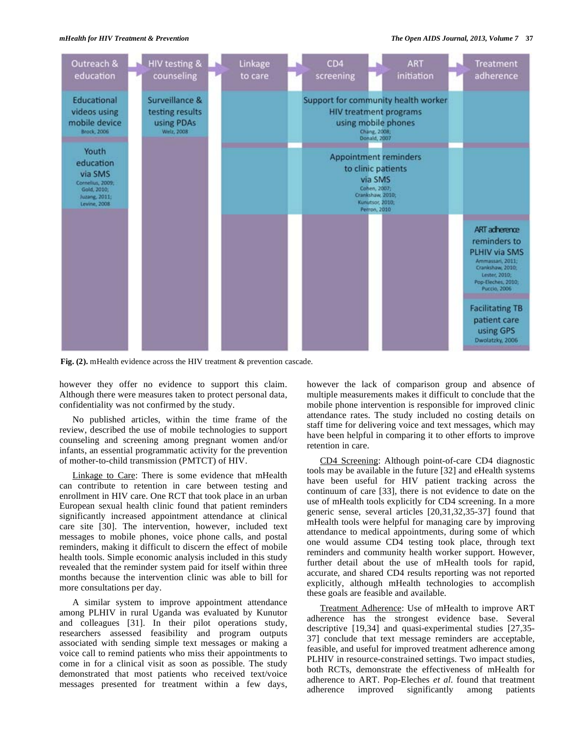

**Fig. (2).** mHealth evidence across the HIV treatment & prevention cascade.

however they offer no evidence to support this claim. Although there were measures taken to protect personal data, confidentiality was not confirmed by the study.

 No published articles, within the time frame of the review, described the use of mobile technologies to support counseling and screening among pregnant women and/or infants, an essential programmatic activity for the prevention of mother-to-child transmission (PMTCT) of HIV.

 Linkage to Care: There is some evidence that mHealth can contribute to retention in care between testing and enrollment in HIV care. One RCT that took place in an urban European sexual health clinic found that patient reminders significantly increased appointment attendance at clinical care site [30]. The intervention, however, included text messages to mobile phones, voice phone calls, and postal reminders, making it difficult to discern the effect of mobile health tools. Simple economic analysis included in this study revealed that the reminder system paid for itself within three months because the intervention clinic was able to bill for more consultations per day.

 A similar system to improve appointment attendance among PLHIV in rural Uganda was evaluated by Kunutor and colleagues [31]. In their pilot operations study, researchers assessed feasibility and program outputs associated with sending simple text messages or making a voice call to remind patients who miss their appointments to come in for a clinical visit as soon as possible. The study demonstrated that most patients who received text/voice messages presented for treatment within a few days,

however the lack of comparison group and absence of multiple measurements makes it difficult to conclude that the mobile phone intervention is responsible for improved clinic attendance rates. The study included no costing details on staff time for delivering voice and text messages, which may have been helpful in comparing it to other efforts to improve retention in care.

 CD4 Screening: Although point-of-care CD4 diagnostic tools may be available in the future [32] and eHealth systems have been useful for HIV patient tracking across the continuum of care [33], there is not evidence to date on the use of mHealth tools explicitly for CD4 screening. In a more generic sense, several articles [20,31,32,35-37] found that mHealth tools were helpful for managing care by improving attendance to medical appointments, during some of which one would assume CD4 testing took place, through text reminders and community health worker support. However, further detail about the use of mHealth tools for rapid, accurate, and shared CD4 results reporting was not reported explicitly, although mHealth technologies to accomplish these goals are feasible and available.

 Treatment Adherence: Use of mHealth to improve ART adherence has the strongest evidence base. Several descriptive [19,34] and quasi-experimental studies [27,35- 37] conclude that text message reminders are acceptable, feasible, and useful for improved treatment adherence among PLHIV in resource-constrained settings. Two impact studies, both RCTs, demonstrate the effectiveness of mHealth for adherence to ART. Pop-Eleches *et al.* found that treatment adherence improved significantly among patients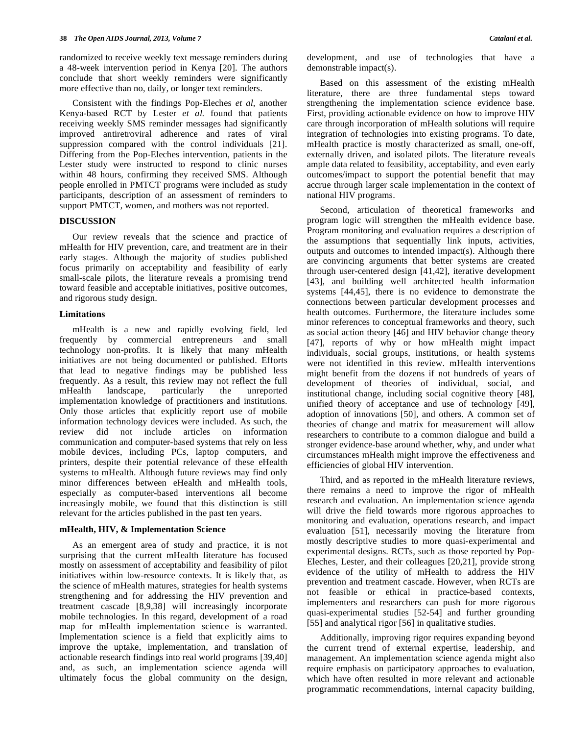randomized to receive weekly text message reminders during a 48-week intervention period in Kenya [20]. The authors conclude that short weekly reminders were significantly more effective than no, daily, or longer text reminders.

 Consistent with the findings Pop-Eleches *et al*, another Kenya-based RCT by Lester *et al.* found that patients receiving weekly SMS reminder messages had significantly improved antiretroviral adherence and rates of viral suppression compared with the control individuals [21]. Differing from the Pop-Eleches intervention, patients in the Lester study were instructed to respond to clinic nurses within 48 hours, confirming they received SMS. Although people enrolled in PMTCT programs were included as study participants, description of an assessment of reminders to support PMTCT, women, and mothers was not reported.

#### **DISCUSSION**

 Our review reveals that the science and practice of mHealth for HIV prevention, care, and treatment are in their early stages. Although the majority of studies published focus primarily on acceptability and feasibility of early small-scale pilots, the literature reveals a promising trend toward feasible and acceptable initiatives, positive outcomes, and rigorous study design.

#### **Limitations**

 mHealth is a new and rapidly evolving field, led frequently by commercial entrepreneurs and small technology non-profits. It is likely that many mHealth initiatives are not being documented or published. Efforts that lead to negative findings may be published less frequently. As a result, this review may not reflect the full mHealth landscape, particularly the unreported implementation knowledge of practitioners and institutions. Only those articles that explicitly report use of mobile information technology devices were included. As such, the review did not include articles on information communication and computer-based systems that rely on less mobile devices, including PCs, laptop computers, and printers, despite their potential relevance of these eHealth systems to mHealth. Although future reviews may find only minor differences between eHealth and mHealth tools, especially as computer-based interventions all become increasingly mobile, we found that this distinction is still relevant for the articles published in the past ten years.

#### **mHealth, HIV, & Implementation Science**

 As an emergent area of study and practice, it is not surprising that the current mHealth literature has focused mostly on assessment of acceptability and feasibility of pilot initiatives within low-resource contexts. It is likely that, as the science of mHealth matures, strategies for health systems strengthening and for addressing the HIV prevention and treatment cascade [8,9,38] will increasingly incorporate mobile technologies. In this regard, development of a road map for mHealth implementation science is warranted. Implementation science is a field that explicitly aims to improve the uptake, implementation, and translation of actionable research findings into real world programs [39,40] and, as such, an implementation science agenda will ultimately focus the global community on the design,

development, and use of technologies that have a demonstrable impact(s).

 Based on this assessment of the existing mHealth literature, there are three fundamental steps toward strengthening the implementation science evidence base. First, providing actionable evidence on how to improve HIV care through incorporation of mHealth solutions will require integration of technologies into existing programs. To date, mHealth practice is mostly characterized as small, one-off, externally driven, and isolated pilots. The literature reveals ample data related to feasibility, acceptability, and even early outcomes/impact to support the potential benefit that may accrue through larger scale implementation in the context of national HIV programs.

 Second, articulation of theoretical frameworks and program logic will strengthen the mHealth evidence base. Program monitoring and evaluation requires a description of the assumptions that sequentially link inputs, activities, outputs and outcomes to intended impact(s). Although there are convincing arguments that better systems are created through user-centered design [41,42], iterative development [43], and building well architected health information systems [44,45], there is no evidence to demonstrate the connections between particular development processes and health outcomes. Furthermore, the literature includes some minor references to conceptual frameworks and theory, such as social action theory [46] and HIV behavior change theory [47], reports of why or how mHealth might impact individuals, social groups, institutions, or health systems were not identified in this review. mHealth interventions might benefit from the dozens if not hundreds of years of development of theories of individual, social, and institutional change, including social cognitive theory [48], unified theory of acceptance and use of technology [49], adoption of innovations [50], and others. A common set of theories of change and matrix for measurement will allow researchers to contribute to a common dialogue and build a stronger evidence-base around whether, why, and under what circumstances mHealth might improve the effectiveness and efficiencies of global HIV intervention.

 Third, and as reported in the mHealth literature reviews, there remains a need to improve the rigor of mHealth research and evaluation. An implementation science agenda will drive the field towards more rigorous approaches to monitoring and evaluation, operations research, and impact evaluation [51], necessarily moving the literature from mostly descriptive studies to more quasi-experimental and experimental designs. RCTs, such as those reported by Pop-Eleches, Lester, and their colleagues [20,21], provide strong evidence of the utility of mHealth to address the HIV prevention and treatment cascade. However, when RCTs are not feasible or ethical in practice-based contexts, implementers and researchers can push for more rigorous quasi-experimental studies [52-54] and further grounding [55] and analytical rigor [56] in qualitative studies.

 Additionally, improving rigor requires expanding beyond the current trend of external expertise, leadership, and management. An implementation science agenda might also require emphasis on participatory approaches to evaluation, which have often resulted in more relevant and actionable programmatic recommendations, internal capacity building,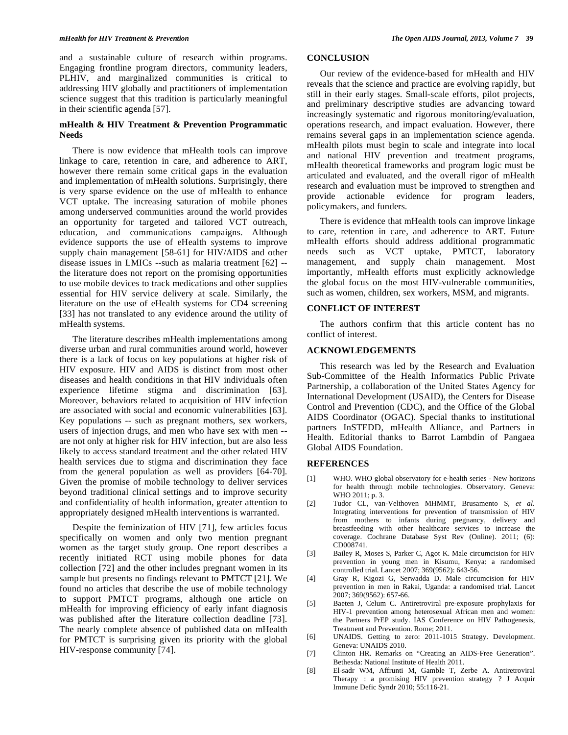and a sustainable culture of research within programs. Engaging frontline program directors, community leaders, PLHIV, and marginalized communities is critical to addressing HIV globally and practitioners of implementation science suggest that this tradition is particularly meaningful in their scientific agenda [57].

#### **mHealth & HIV Treatment & Prevention Programmatic Needs**

 There is now evidence that mHealth tools can improve linkage to care, retention in care, and adherence to ART, however there remain some critical gaps in the evaluation and implementation of mHealth solutions. Surprisingly, there is very sparse evidence on the use of mHealth to enhance VCT uptake. The increasing saturation of mobile phones among underserved communities around the world provides an opportunity for targeted and tailored VCT outreach, education, and communications campaigns. Although evidence supports the use of eHealth systems to improve supply chain management [58-61] for HIV/AIDS and other disease issues in LMICs --such as malaria treatment [62] - the literature does not report on the promising opportunities to use mobile devices to track medications and other supplies essential for HIV service delivery at scale. Similarly, the literature on the use of eHealth systems for CD4 screening [33] has not translated to any evidence around the utility of mHealth systems.

 The literature describes mHealth implementations among diverse urban and rural communities around world, however there is a lack of focus on key populations at higher risk of HIV exposure. HIV and AIDS is distinct from most other diseases and health conditions in that HIV individuals often experience lifetime stigma and discrimination [63]. Moreover, behaviors related to acquisition of HIV infection are associated with social and economic vulnerabilities [63]. Key populations -- such as pregnant mothers, sex workers, users of injection drugs, and men who have sex with men - are not only at higher risk for HIV infection, but are also less likely to access standard treatment and the other related HIV health services due to stigma and discrimination they face from the general population as well as providers [64-70]. Given the promise of mobile technology to deliver services beyond traditional clinical settings and to improve security and confidentiality of health information, greater attention to appropriately designed mHealth interventions is warranted.

 Despite the feminization of HIV [71], few articles focus specifically on women and only two mention pregnant women as the target study group. One report describes a recently initiated RCT using mobile phones for data collection [72] and the other includes pregnant women in its sample but presents no findings relevant to PMTCT [21]. We found no articles that describe the use of mobile technology to support PMTCT programs, although one article on mHealth for improving efficiency of early infant diagnosis was published after the literature collection deadline [73]. The nearly complete absence of published data on mHealth for PMTCT is surprising given its priority with the global HIV-response community [74].

#### **CONCLUSION**

 Our review of the evidence-based for mHealth and HIV reveals that the science and practice are evolving rapidly, but still in their early stages. Small-scale efforts, pilot projects, and preliminary descriptive studies are advancing toward increasingly systematic and rigorous monitoring/evaluation, operations research, and impact evaluation. However, there remains several gaps in an implementation science agenda. mHealth pilots must begin to scale and integrate into local and national HIV prevention and treatment programs, mHealth theoretical frameworks and program logic must be articulated and evaluated, and the overall rigor of mHealth research and evaluation must be improved to strengthen and provide actionable evidence for program leaders, policymakers, and funders.

 There is evidence that mHealth tools can improve linkage to care, retention in care, and adherence to ART. Future mHealth efforts should address additional programmatic needs such as VCT uptake, PMTCT, laboratory management, and supply chain management. Most importantly, mHealth efforts must explicitly acknowledge the global focus on the most HIV-vulnerable communities, such as women, children, sex workers, MSM, and migrants.

### **CONFLICT OF INTEREST**

 The authors confirm that this article content has no conflict of interest.

#### **ACKNOWLEDGEMENTS**

 This research was led by the Research and Evaluation Sub-Committee of the Health Informatics Public Private Partnership, a collaboration of the United States Agency for International Development (USAID), the Centers for Disease Control and Prevention (CDC), and the Office of the Global AIDS Coordinator (OGAC). Special thanks to institutional partners InSTEDD, mHealth Alliance, and Partners in Health. Editorial thanks to Barrot Lambdin of Pangaea Global AIDS Foundation.

#### **REFERENCES**

- [1] WHO. WHO global observatory for e-health series New horizons for health through mobile technologies. Observatory. Geneva: WHO 2011; p. 3.
- [2] Tudor CL, van-Velthoven MHMMT, Brusamento S, *et al*. Integrating interventions for prevention of transmission of HIV from mothers to infants during pregnancy, delivery and breastfeeding with other healthcare services to increase the coverage. Cochrane Database Syst Rev (Online). 2011; (6): CD008741.
- [3] Bailey R, Moses S, Parker C, Agot K. Male circumcision for HIV prevention in young men in Kisumu, Kenya: a randomised controlled trial. Lancet 2007; 369(9562): 643-56.
- [4] Gray R, Kigozi G, Serwadda D. Male circumcision for HIV prevention in men in Rakai, Uganda: a randomised trial. Lancet 2007; 369(9562): 657-66.
- [5] Baeten J, Celum C. Antiretroviral pre-exposure prophylaxis for HIV-1 prevention among heterosexual African men and women: the Partners PrEP study. IAS Conference on HIV Pathogenesis, Treatment and Prevention. Rome; 2011.
- [6] UNAIDS. Getting to zero: 2011-1015 Strategy. Development. Geneva: UNAIDS 2010.
- [7] Clinton HR. Remarks on "Creating an AIDS-Free Generation". Bethesda: National Institute of Health 2011.
- [8] El-sadr WM, Affrunti M, Gamble T, Zerbe A. Antiretroviral Therapy : a promising HIV prevention strategy ? J Acquir Immune Defic Syndr 2010; 55:116-21.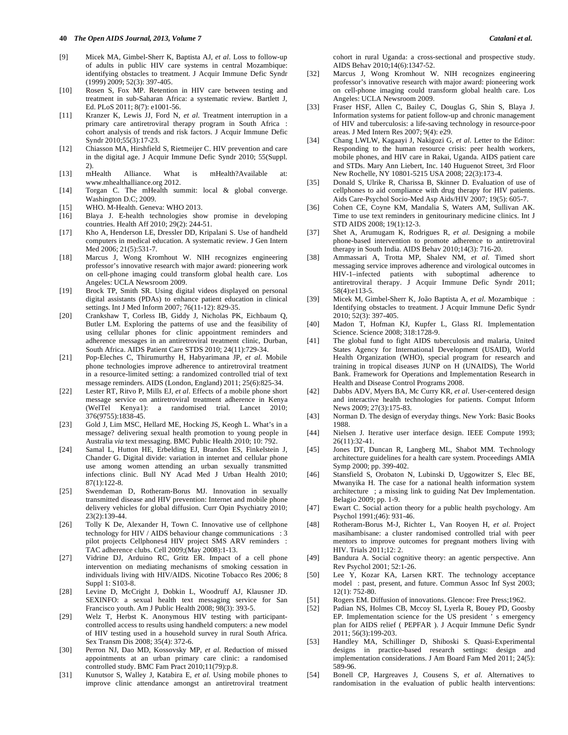- [9] Micek MA, Gimbel-Sherr K, Baptista AJ, *et al*. Loss to follow-up of adults in public HIV care systems in central Mozambique: identifying obstacles to treatment. J Acquir Immune Defic Syndr (1999) 2009; 52(3): 397-405.
- [10] Rosen S, Fox MP. Retention in HIV care between testing and treatment in sub-Saharan Africa: a systematic review. Bartlett J, Ed. PLoS 2011; 8(7): e1001-56.
- [11] Kranzer K, Lewis JJ, Ford N, *et al*. Treatment interruption in a primary care antiretroviral therapy program in South Africa : cohort analysis of trends and risk factors. J Acquir Immune Defic Syndr 2010;55(3):17-23.
- [12] Chiasson MA, Hirshfield S, Rietmeijer C. HIV prevention and care in the digital age. J Acquir Immune Defic Syndr 2010; 55(Suppl. 2).
- [13] mHealth Alliance. What is mHealth?Available at: www.mhealthalliance.org 2012.
- [14] Torgan C. The mHealth summit: local & global converge. Washington D.C; 2009.
- [15] WHO. M-Health. Geneva: WHO 2013.
- [16] Blaya J. E-health technologies show promise in developing countries. Health Aff 2010; 29(2): 244-51.
- [17] Kho A, Henderson LE, Dressler DD, Kripalani S. Use of handheld computers in medical education. A systematic review. J Gen Intern Med 2006; 21(5):531-7.
- [18] Marcus J, Wong Kromhout W. NIH recognizes engineering professor's innovative research with major award: pioneering work on cell-phone imaging could transform global health care. Los Angeles: UCLA Newsroom 2009.
- [19] Brock TP, Smith SR. Using digital videos displayed on personal digital assistants (PDAs) to enhance patient education in clinical settings. Int J Med Inform 2007; 76(11-12): 829-35.
- [20] Crankshaw T, Corless IB, Giddy J, Nicholas PK, Eichbaum Q, Butler LM. Exploring the patterns of use and the feasibility of using cellular phones for clinic appointment reminders and adherence messages in an antiretroviral treatment clinic, Durban, South Africa. AIDS Patient Care STDS 2010; 24(11):729-34.
- [21] Pop-Eleches C, Thirumurthy H, Habyarimana JP, *et al*. Mobile phone technologies improve adherence to antiretroviral treatment in a resource-limited setting: a randomized controlled trial of text message reminders. AIDS (London, England) 2011; 25(6):825-34.
- [22] Lester RT, Ritvo P, Mills EJ, *et al*. Effects of a mobile phone short message service on antiretroviral treatment adherence in Kenya (WelTel Kenya1): a randomised trial. Lancet 2010; 376(9755):1838-45.
- [23] Gold J, Lim MSC, Hellard ME, Hocking JS, Keogh L. What's in a message? delivering sexual health promotion to young people in Australia *via* text messaging. BMC Public Health 2010; 10: 792.
- [24] Samal L, Hutton HE, Erbelding EJ, Brandon ES, Finkelstein J, Chander G. Digital divide: variation in internet and cellular phone use among women attending an urban sexually transmitted infections clinic. Bull NY Acad Med J Urban Health 2010; 87(1):122-8.
- [25] Swendeman D, Rotheram-Borus MJ. Innovation in sexually transmitted disease and HIV prevention: Internet and mobile phone delivery vehicles for global diffusion. Curr Opin Psychiatry 2010; 23(2):139-44.
- [26] Tolly K De, Alexander H, Town C. Innovative use of cellphone technology for HIV / AIDS behaviour change communications : 3 pilot projects Cellphones4 HIV project SMS ARV reminders : TAC adherence clubs. Cell 2009;(May 2008):1-13.
- [27] Vidrine DJ, Arduino RC, Gritz ER. Impact of a cell phone intervention on mediating mechanisms of smoking cessation in individuals living with HIV/AIDS. Nicotine Tobacco Res 2006; 8 Suppl 1: S103-8.
- [28] Levine D, McCright J, Dobkin L, Woodruff AJ, Klausner JD. SEXINFO: a sexual health text messaging service for San Francisco youth. Am J Public Health 2008; 98(3): 393-5.
- [29] Welz T, Herbst K. Anonymous HIV testing with participantcontrolled access to results using handheld computers: a new model of HIV testing used in a household survey in rural South Africa. Sex Transm Dis 2008; 35(4): 372-6.
- [30] Perron NJ, Dao MD, Kossovsky MP, *et al*. Reduction of missed appointments at an urban primary care clinic: a randomised controlled study. BMC Fam Pract 2010;11(79):p.8.
- [31] Kunutsor S, Walley J, Katabira E, *et al*. Using mobile phones to improve clinic attendance amongst an antiretroviral treatment

cohort in rural Uganda: a cross-sectional and prospective study. AIDS Behav 2010;14(6):1347-52.

- [32] Marcus J, Wong Kromhout W. NIH recognizes engineering professor's innovative research with major award: pioneering work on cell-phone imaging could transform global health care. Los Angeles: UCLA Newsroom 2009.
- [33] Fraser HSF, Allen C, Bailey C, Douglas G, Shin S, Blaya J. Information systems for patient follow-up and chronic management of HIV and tuberculosis: a life-saving technology in resource-poor areas. J Med Intern Res 2007; 9(4): e29.
- [34] Chang LWLW, Kagaayi J, Nakigozi G, *et al*. Letter to the Editor: Responding to the human resource crisis: peer health workers, mobile phones, and HIV care in Rakai, Uganda. AIDS patient care and STDs. Mary Ann Liebert, Inc. 140 Huguenot Street, 3rd Floor New Rochelle, NY 10801-5215 USA 2008; 22(3):173-4.
- [35] Donald S, Ulrike R, Charissa B, Skinner D. Evaluation of use of cellphones to aid compliance with drug therapy for HIV patients. Aids Care-Psychol Socio-Med Asp Aids/HIV 2007; 19(5): 605-7.
- [36] Cohen CE, Coyne KM, Mandalia S, Waters AM, Sullivan AK. Time to use text reminders in genitourinary medicine clinics. Int J STD AIDS 2008; 19(1):12-3.
- [37] Shet A, Arumugam K, Rodrigues R, *et al*. Designing a mobile phone-based intervention to promote adherence to antiretroviral therapy in South India. AIDS Behav 2010;14(3): 716-20.
- [38] Ammassari A, Trotta MP, Shalev NM, *et al*. Timed short messaging service improves adherence and virological outcomes in HIV-1–infected patients with suboptimal adherence to antiretroviral therapy. J Acquir Immune Defic Syndr 2011; 58(4):e113-5.
- [39] Micek M, Gimbel-Sherr K, João Baptista A, *et al*. Mozambique : Identifying obstacles to treatment. J Acquir Immune Defic Syndr 2010; 52(3): 397-405.
- [40] Madon T, Hofman KJ, Kupfer L, Glass RI. Implementation Science. Science 2008; 318:1728-9.
- [41] The global fund to fight AIDS tuberculosis and malaria, United States Agency for International Development (USAID), World Health Organization (WHO), special program for research and training in tropical diseases JUNP on H (UNAIDS), The World Bank. Framework for Operations and Implementation Research in Health and Disease Control Programs 2008.
- [42] Dabbs ADV, Myers BA, Mc Curry KR, *et al*. User-centered design and interactive health technologies for patients. Comput Inform News 2009; 27(3):175-83.
- [43] Norman D. The design of everyday things. New York: Basic Books 1988.
- [44] Nielsen J. Iterative user interface design. IEEE Compute 1993; 26(11):32-41.
- [45] Jones DT, Duncan R, Langberg ML, Shabot MM. Technology architecture guidelines for a health care system. Proceedings AMIA Symp 2000; pp. 399-402.
- [46] Stansfield S, Orobaton N, Lubinski D, Uggowitzer S, Elec BE, Mwanyika H. The case for a national health information system architecture ; a missing link to guiding Nat Dev Implementation. Belagio 2009; pp. 1-9.
- [47] Ewart C. Social action theory for a public health psychology. Am Psychol 1991;(46): 931-46.
- [48] Rotheram-Borus M-J, Richter L, Van Rooyen H, *et al*. Project masihambisane: a cluster randomised controlled trial with peer mentors to improve outcomes for pregnant mothers living with HIV. Trials 2011;12: 2.
- [49] Bandura A. Social cognitive theory: an agentic perspective. Ann Rev Psychol 2001; 52:1-26.
- [50] Lee Y, Kozar KA, Larsen KRT. The technology acceptance model : past, present, and future. Commun Assoc Inf Syst 2003; 12(1): 752-80.
- [51] Rogers EM. Diffusion of innovations. Glencoe: Free Press;1962.
- [52] Padian NS, Holmes CB, Mccoy SI, Lyerla R, Bouey PD, Goosby EP. Implementation science for the US president ' s emergency plan for AIDS relief ( PEPFAR ). J Acquir Immune Defic Syndr 2011; 56(3):199-203.
- [53] Handley MA, Schillinger D, Shiboski S. Quasi-Experimental designs in practice-based research settings: design and implementation considerations. J Am Board Fam Med 2011; 24(5): 589-96.
- [54] Bonell CP, Hargreaves J, Cousens S, *et al*. Alternatives to randomisation in the evaluation of public health interventions: